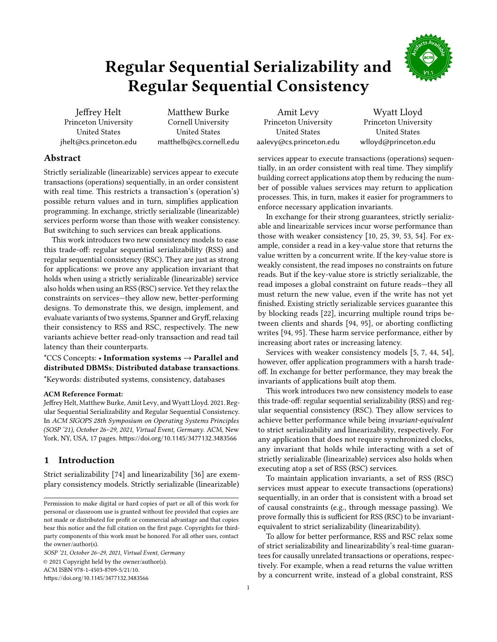# Regular Sequential Serializability and Regular Sequential Consistency



Jeffrey Helt Princeton University United States jhelt@cs.princeton.edu

Matthew Burke Cornell University United States matthelb@cs.cornell.edu

Amit Levy Princeton University United States aalevy@cs.princeton.edu

Wyatt Lloyd Princeton University United States wlloyd@princeton.edu

# Abstract

Strictly serializable (linearizable) services appear to execute transactions (operations) sequentially, in an order consistent with real time. This restricts a transaction's (operation's) possible return values and in turn, simplifies application programming. In exchange, strictly serializable (linearizable) services perform worse than those with weaker consistency. But switching to such services can break applications.

This work introduces two new consistency models to ease this trade-off: regular sequential serializability (RSS) and regular sequential consistency (RSC). They are just as strong for applications: we prove any application invariant that holds when using a strictly serializable (linearizable) service also holds when using an RSS (RSC) service. Yet they relax the constraints on services-they allow new, better-performing designs. To demonstrate this, we design, implement, and evaluate variants of two systems, Spanner and Gryff, relaxing their consistency to RSS and RSC, respectively. The new variants achieve better read-only transaction and read tail latency than their counterparts.

\*CCS Concepts: · Information systems → Parallel and distributed DBMSs; Distributed database transactions.

\*Keywords: distributed systems, consistency, databases

## ACM Reference Format:

Jeffrey Helt, Matthew Burke, Amit Levy, and Wyatt Lloyd. 2021. Regular Sequential Serializability and Regular Sequential Consistency. In ACM SIGOPS 28th Symposium on Operating Systems Principles (SOSP '21), October 26-29, 2021, Virtual Event, Germany. ACM, New York, NY, USA, [17](#page-16-0) pages. <https://doi.org/10.1145/3477132.3483566>

# 1 Introduction

Strict serializability [\[74\]](#page-16-1) and linearizability [\[36\]](#page-15-0) are exemplary consistency models. Strictly serializable (linearizable)

SOSP '21, October 26-29, 2021, Virtual Event, Germany © 2021 Copyright held by the owner/author(s). ACM ISBN 978-1-4503-8709-5/21/10. <https://doi.org/10.1145/3477132.3483566>

services appear to execute transactions (operations) sequentially, in an order consistent with real time. They simplify building correct applications atop them by reducing the number of possible values services may return to application processes. This, in turn, makes it easier for programmers to enforce necessary application invariants.

In exchange for their strong guarantees, strictly serializable and linearizable services incur worse performance than those with weaker consistency [\[10,](#page-14-0) [25,](#page-14-1) [39,](#page-15-1) [53,](#page-15-2) [54\]](#page-15-3). For example, consider a read in a key-value store that returns the value written by a concurrent write. If the key-value store is weakly consistent, the read imposes no constraints on future reads. But if the key-value store is strictly serializable, the read imposes a global constraint on future reads-they all must return the new value, even if the write has not yet finished. Existing strictly serializable services guarantee this by blocking reads [\[22\]](#page-14-2), incurring multiple round trips between clients and shards [\[94,](#page-16-2) [95\]](#page-16-3), or aborting conflicting writes [\[94,](#page-16-2) [95\]](#page-16-3). These harm service performance, either by increasing abort rates or increasing latency.

Services with weaker consistency models [\[5,](#page-14-3) [7,](#page-14-4) [44,](#page-15-4) [54\]](#page-15-3), however, offer application programmers with a harsh tradeoff. In exchange for better performance, they may break the invariants of applications built atop them.

This work introduces two new consistency models to ease this trade-off: regular sequential serializability (RSS) and regular sequential consistency (RSC). They allow services to achieve better performance while being invariant-equivalent to strict serializability and linearizability, respectively. For any application that does not require synchronized clocks, any invariant that holds while interacting with a set of strictly serializable (linearizable) services also holds when executing atop a set of RSS (RSC) services.

To maintain application invariants, a set of RSS (RSC) services must appear to execute transactions (operations) sequentially, in an order that is consistent with a broad set of causal constraints (e.g., through message passing). We prove formally this is sufficient for RSS (RSC) to be invariantequivalent to strict serializability (linearizability).

To allow for better performance, RSS and RSC relax some of strict serializability and linearizability's real-time guarantees for causally unrelated transactions or operations, respectively. For example, when a read returns the value written by a concurrent write, instead of a global constraint, RSS

Permission to make digital or hard copies of part or all of this work for personal or classroom use is granted without fee provided that copies are not made or distributed for profit or commercial advantage and that copies bear this notice and the full citation on the first page. Copyrights for thirdparty components of this work must be honored. For all other uses, contact the owner/author(s).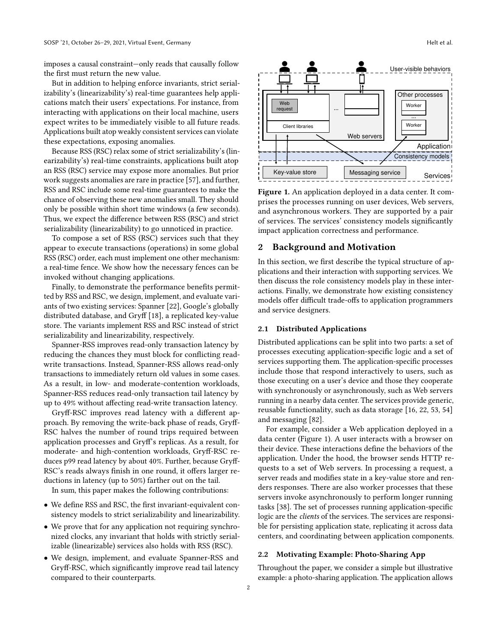imposes a causal constraint-only reads that causally follow the first must return the new value.

But in addition to helping enforce invariants, strict serializability's (linearizability's) real-time guarantees help applications match their users' expectations. For instance, from interacting with applications on their local machine, users expect writes to be immediately visible to all future reads. Applications built atop weakly consistent services can violate these expectations, exposing anomalies.

Because RSS (RSC) relax some of strict serializability's (linearizability's) real-time constraints, applications built atop an RSS (RSC) service may expose more anomalies. But prior work suggests anomalies are rare in practice [\[57\]](#page-15-5), and further, RSS and RSC include some real-time guarantees to make the chance of observing these new anomalies small. They should only be possible within short time windows (a few seconds). Thus, we expect the difference between RSS (RSC) and strict serializability (linearizability) to go unnoticed in practice.

To compose a set of RSS (RSC) services such that they appear to execute transactions (operations) in some global RSS (RSC) order, each must implement one other mechanism: a real-time fence. We show how the necessary fences can be invoked without changing applications.

Finally, to demonstrate the performance benefits permitted by RSS and RSC, we design, implement, and evaluate variants of two existing services: Spanner [\[22\]](#page-14-2), Google's globally distributed database, and Gryff [\[18\]](#page-14-5), a replicated key-value store. The variants implement RSS and RSC instead of strict serializability and linearizability, respectively.

Spanner-RSS improves read-only transaction latency by reducing the chances they must block for conflicting readwrite transactions. Instead, Spanner-RSS allows read-only transactions to immediately return old values in some cases. As a result, in low- and moderate-contention workloads, Spanner-RSS reduces read-only transaction tail latency by up to 49% without affecting read-write transaction latency.

Gryff-RSC improves read latency with a different approach. By removing the write-back phase of reads, Gryff-RSC halves the number of round trips required between application processes and Gryff's replicas. As a result, for moderate- and high-contention workloads, Gryff-RSC reduces p99 read latency by about 40%. Further, because Gryff-RSC's reads always finish in one round, it offers larger reductions in latency (up to 50%) farther out on the tail.

In sum, this paper makes the following contributions:

- We define RSS and RSC, the first invariant-equivalent consistency models to strict serializability and linearizability.
- We prove that for any application not requiring synchronized clocks, any invariant that holds with strictly serializable (linearizable) services also holds with RSS (RSC).
- We design, implement, and evaluate Spanner-RSS and Gryff-RSC, which significantly improve read tail latency compared to their counterparts.

<span id="page-1-0"></span>

Figure 1. An application deployed in a data center. It comprises the processes running on user devices, Web servers, and asynchronous workers. They are supported by a pair of services. The services' consistency models significantly impact application correctness and performance.

# 2 Background and Motivation

In this section, we first describe the typical structure of applications and their interaction with supporting services. We then discuss the role consistency models play in these interactions. Finally, we demonstrate how existing consistency models offer difficult trade-offs to application programmers and service designers.

## 2.1 Distributed Applications

Distributed applications can be split into two parts: a set of processes executing application-specific logic and a set of services supporting them. The application-specific processes include those that respond interactively to users, such as those executing on a user's device and those they cooperate with synchronously or asynchronously, such as Web servers running in a nearby data center. The services provide generic, reusable functionality, such as data storage [\[16,](#page-14-6) [22,](#page-14-2) [53,](#page-15-2) [54\]](#page-15-3) and messaging [\[82\]](#page-16-4).

For example, consider a Web application deployed in a data center (Figure [1\)](#page-1-0). A user interacts with a browser on their device. These interactions define the behaviors of the application. Under the hood, the browser sends HTTP requests to a set of Web servers. In processing a request, a server reads and modifies state in a key-value store and renders responses. There are also worker processes that these servers invoke asynchronously to perform longer running tasks [\[38\]](#page-15-6). The set of processes running application-specific logic are the clients of the services. The services are responsible for persisting application state, replicating it across data centers, and coordinating between application components.

## 2.2 Motivating Example: Photo-Sharing App

Throughout the paper, we consider a simple but illustrative example: a photo-sharing application. The application allows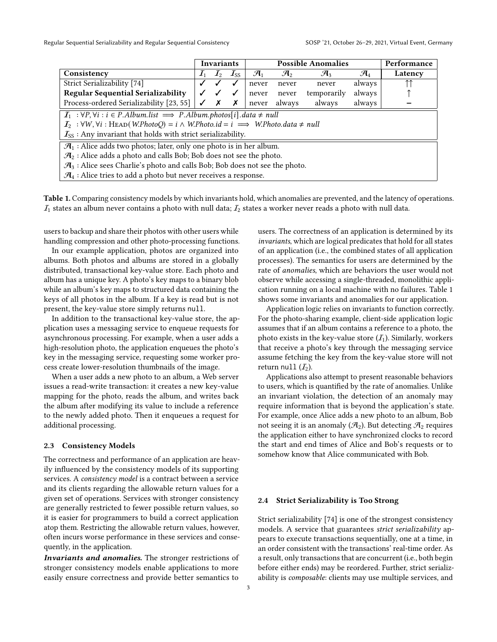<span id="page-2-0"></span>

|                                                                                                                                                    |                 | <b>Invariants</b> |          | <b>Possible Anomalies</b> |                 |                 | Performance     |         |
|----------------------------------------------------------------------------------------------------------------------------------------------------|-----------------|-------------------|----------|---------------------------|-----------------|-----------------|-----------------|---------|
| Consistency                                                                                                                                        | $\mathcal{I}_1$ | $\mathcal{I}_2$   | $I_{SS}$ | $\mathcal{A}_1$           | $\mathcal{A}_2$ | $\mathcal{A}_3$ | $\mathcal{A}_4$ | Latency |
| Strict Serializability [74]                                                                                                                        |                 |                   |          | never                     | never           | never           | always          |         |
| <b>Regular Sequential Serializability</b>                                                                                                          |                 |                   | √        | never                     | never           | temporarily     | always          |         |
| Process-ordered Serializability [23, 55]<br>✓<br>x                                                                                                 |                 | Х                 | never    | always                    | always          | always          |                 |         |
| $I_1 : \forall P, \forall i : i \in P. Album. list \implies P. Album. photos[i].data \neq null$                                                    |                 |                   |          |                           |                 |                 |                 |         |
| $\mathcal{I}_2$ : $\forall W, \forall i$ : HEAD( <i>W.PhotoQ</i> ) = $i \wedge W$ <i>.Photo.id</i> = $i \implies W$ <i>.Photo.data</i> $\neq null$ |                 |                   |          |                           |                 |                 |                 |         |
| $\mathcal{I}_{SS}$ : Any invariant that holds with strict serializability.                                                                         |                 |                   |          |                           |                 |                 |                 |         |
| $\mathcal{A}_1$ : Alice adds two photos; later, only one photo is in her album.                                                                    |                 |                   |          |                           |                 |                 |                 |         |
| $\mathcal{A}_2$ : Alice adds a photo and calls Bob; Bob does not see the photo.                                                                    |                 |                   |          |                           |                 |                 |                 |         |
| $\mathcal{A}_3$ : Alice sees Charlie's photo and calls Bob; Bob does not see the photo.                                                            |                 |                   |          |                           |                 |                 |                 |         |
| $\mathcal{A}_4$ : Alice tries to add a photo but never receives a response.                                                                        |                 |                   |          |                           |                 |                 |                 |         |

Table 1. Comparing consistency models by which invariants hold, which anomalies are prevented, and the latency of operations.  $I_1$  states an album never contains a photo with null data;  $I_2$  states a worker never reads a photo with null data.

users to backup and share their photos with other users while handling compression and other photo-processing functions.

In our example application, photos are organized into albums. Both photos and albums are stored in a globally distributed, transactional key-value store. Each photo and album has a unique key. A photo's key maps to a binary blob while an album's key maps to structured data containing the keys of all photos in the album. If a key is read but is not present, the key-value store simply returns null.

In addition to the transactional key-value store, the application uses a messaging service to enqueue requests for asynchronous processing. For example, when a user adds a high-resolution photo, the application enqueues the photo's key in the messaging service, requesting some worker process create lower-resolution thumbnails of the image.

When a user adds a new photo to an album, a Web server issues a read-write transaction: it creates a new key-value mapping for the photo, reads the album, and writes back the album after modifying its value to include a reference to the newly added photo. Then it enqueues a request for additional processing.

#### 2.3 Consistency Models

The correctness and performance of an application are heavily influenced by the consistency models of its supporting services. A consistency model is a contract between a service and its clients regarding the allowable return values for a given set of operations. Services with stronger consistency are generally restricted to fewer possible return values, so it is easier for programmers to build a correct application atop them. Restricting the allowable return values, however, often incurs worse performance in these services and consequently, in the application.

Invariants and anomalies. The stronger restrictions of stronger consistency models enable applications to more easily ensure correctness and provide better semantics to

users. The correctness of an application is determined by its invariants, which are logical predicates that hold for all states of an application (i.e., the combined states of all application processes). The semantics for users are determined by the rate of anomalies, which are behaviors the user would not observe while accessing a single-threaded, monolithic application running on a local machine with no failures. Table [1](#page-2-0) shows some invariants and anomalies for our application.

Application logic relies on invariants to function correctly. For the photo-sharing example, client-side application logic assumes that if an album contains a reference to a photo, the photo exists in the key-value store  $(I_1)$ . Similarly, workers that receive a photo's key through the messaging service assume fetching the key from the key-value store will not return null  $(I_2)$ .

Applications also attempt to present reasonable behaviors to users, which is quantified by the rate of anomalies. Unlike an invariant violation, the detection of an anomaly may require information that is beyond the application's state. For example, once Alice adds a new photo to an album, Bob not seeing it is an anomaly ( $\mathcal{A}_2$ ). But detecting  $\mathcal{A}_2$  requires the application either to have synchronized clocks to record the start and end times of Alice and Bob's requests or to somehow know that Alice communicated with Bob.

# 2.4 Strict Serializability is Too Strong

Strict serializability [\[74\]](#page-16-1) is one of the strongest consistency models. A service that guarantees strict serializability appears to execute transactions sequentially, one at a time, in an order consistent with the transactions' real-time order. As a result, only transactions that are concurrent (i.e., both begin before either ends) may be reordered. Further, strict serializability is composable: clients may use multiple services, and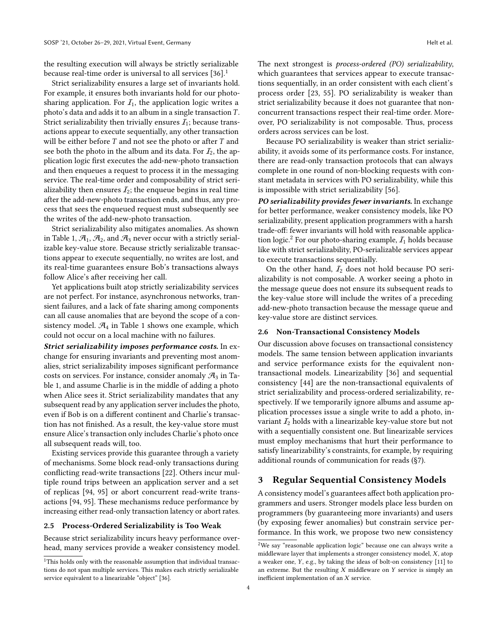the resulting execution will always be strictly serializable because real-time order is universal to all services [\[36\]](#page-15-0).<sup>[1](#page-3-0)</sup>

Strict serializability ensures a large set of invariants hold. For example, it ensures both invariants hold for our photosharing application. For  $I_1$ , the application logic writes a photo's data and adds it to an album in a single transaction  $T$ . Strict serializability then trivially ensures  $I_1$ ; because transactions appear to execute sequentially, any other transaction will be either before  $T$  and not see the photo or after  $T$  and see both the photo in the album and its data. For  $I_2$ , the application logic first executes the add-new-photo transaction and then enqueues a request to process it in the messaging service. The real-time order and composability of strict serializability then ensures  $I_2$ ; the enqueue begins in real time after the add-new-photo transaction ends, and thus, any process that sees the enqueued request must subsequently see the writes of the add-new-photo transaction.

Strict serializability also mitigates anomalies. As shown in Table [1,](#page-2-0)  $\mathcal{A}_1$ ,  $\mathcal{A}_2$ , and  $\mathcal{A}_3$  never occur with a strictly serializable key-value store. Because strictly serializable transactions appear to execute sequentially, no writes are lost, and its real-time guarantees ensure Bob's transactions always follow Alice's after receiving her call.

Yet applications built atop strictly serializability services are not perfect. For instance, asynchronous networks, transient failures, and a lack of fate sharing among components can all cause anomalies that are beyond the scope of a consistency model.  $\mathcal{A}_4$  in Table [1](#page-2-0) shows one example, which could not occur on a local machine with no failures.

Strict serializability imposes performance costs. In exchange for ensuring invariants and preventing most anomalies, strict serializability imposes significant performance costs on services. For instance, consider anomaly  $\mathcal{A}_3$  in Table [1,](#page-2-0) and assume Charlie is in the middle of adding a photo when Alice sees it. Strict serializability mandates that any subsequent read by any application server includes the photo, even if Bob is on a different continent and Charlie's transaction has not finished. As a result, the key-value store must ensure Alice's transaction only includes Charlie's photo once all subsequent reads will, too.

Existing services provide this guarantee through a variety of mechanisms. Some block read-only transactions during conflicting read-write transactions [\[22\]](#page-14-2). Others incur multiple round trips between an application server and a set of replicas [\[94,](#page-16-2) [95\]](#page-16-3) or abort concurrent read-write transactions [\[94,](#page-16-2) [95\]](#page-16-3). These mechanisms reduce performance by increasing either read-only transaction latency or abort rates.

## 2.5 Process-Ordered Serializability is Too Weak

Because strict serializability incurs heavy performance overhead, many services provide a weaker consistency model.

4

The next strongest is process-ordered (PO) serializability, which guarantees that services appear to execute transactions sequentially, in an order consistent with each client's process order [\[23,](#page-14-7) [55\]](#page-15-7). PO serializability is weaker than strict serializability because it does not guarantee that nonconcurrent transactions respect their real-time order. Moreover, PO serializability is not composable. Thus, process orders across services can be lost.

Because PO serializability is weaker than strict serializability, it avoids some of its performance costs. For instance, there are read-only transaction protocols that can always complete in one round of non-blocking requests with constant metadata in services with PO serializability, while this is impossible with strict serializability [\[56\]](#page-15-8).

PO serializability provides fewer invariants. In exchange for better performance, weaker consistency models, like PO serializability, present application programmers with a harsh trade-off: fewer invariants will hold with reasonable applica-tion logic.<sup>[2](#page-3-1)</sup> For our photo-sharing example,  $I_1$  holds because like with strict serializability, PO-serializable services appear to execute transactions sequentially.

On the other hand,  $I_2$  does not hold because PO serializability is not composable. A worker seeing a photo in the message queue does not ensure its subsequent reads to the key-value store will include the writes of a preceding add-new-photo transaction because the message queue and key-value store are distinct services.

### <span id="page-3-2"></span>2.6 Non-Transactional Consistency Models

Our discussion above focuses on transactional consistency models. The same tension between application invariants and service performance exists for the equivalent nontransactional models. Linearizability [\[36\]](#page-15-0) and sequential consistency [\[44\]](#page-15-4) are the non-transactional equivalents of strict serializability and process-ordered serializability, respectively. If we temporarily ignore albums and assume application processes issue a single write to add a photo, invariant  $I_2$  holds with a linearizable key-value store but not with a sequentially consistent one. But linearizable services must employ mechanisms that hurt their performance to satisfy linearizability's constraints, for example, by requiring additional rounds of communication for reads ([ğ7\)](#page-11-0).

# 3 Regular Sequential Consistency Models

A consistency model's guarantees affect both application programmers and users. Stronger models place less burden on programmers (by guaranteeing more invariants) and users (by exposing fewer anomalies) but constrain service performance. In this work, we propose two new consistency

<span id="page-3-0"></span><sup>&</sup>lt;sup>1</sup>This holds only with the reasonable assumption that individual transactions do not span multiple services. This makes each strictly serializable service equivalent to a linearizable "object" [\[36\]](#page-15-0).

<span id="page-3-1"></span> $2$ We say "reasonable application logic" because one can always write a middleware layer that implements a stronger consistency model,  $X$ , atop a weaker one,  $Y$ , e.g., by taking the ideas of bolt-on consistency  $[11]$  to an extreme. But the resulting  $X$  middleware on  $Y$  service is simply an inefficient implementation of an  $X$  service.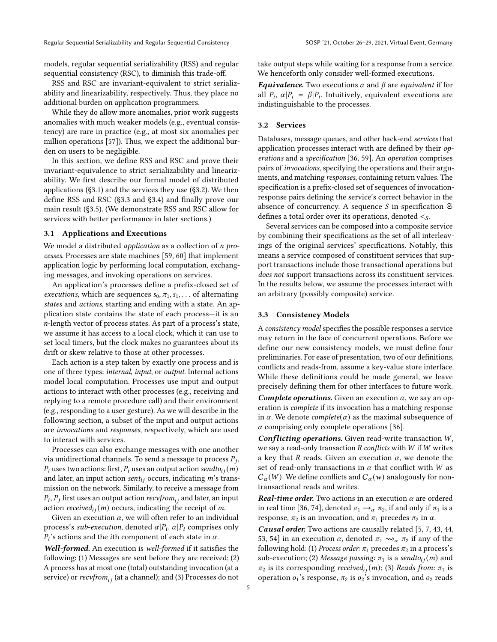models, regular sequential serializability (RSS) and regular sequential consistency (RSC), to diminish this trade-off.

RSS and RSC are invariant-equivalent to strict serializability and linearizability, respectively. Thus, they place no additional burden on application programmers.

While they do allow more anomalies, prior work suggests anomalies with much weaker models (e.g., eventual consistency) are rare in practice (e.g., at most six anomalies per million operations [\[57\]](#page-15-5)). Thus, we expect the additional burden on users to be negligible.

In this section, we define RSS and RSC and prove their invariant-equivalence to strict serializability and linearizability. We first describe our formal model of distributed applications ([ğ3.1\)](#page-4-0) and the services they use ([ğ3.2\)](#page-4-1). We then define RSS and RSC ([ğ3.3](#page-4-2) and [ğ3.4\)](#page-5-0) and finally prove our main result ([ğ3.5\)](#page-5-1). (We demonstrate RSS and RSC allow for services with better performance in later sections.)

## <span id="page-4-0"></span>3.1 Applications and Executions

We model a distributed *application* as a collection of  $n$  processes. Processes are state machines [\[59,](#page-15-9) [60\]](#page-15-10) that implement application logic by performing local computation, exchanging messages, and invoking operations on services.

An application's processes define a prefix-closed set of *executions*, which are sequences  $s_0, \pi_1, s_1, \ldots$  of alternating states and actions, starting and ending with a state. An application state contains the state of each process-it is an -length vector of process states. As part of a process's state, we assume it has access to a local clock, which it can use to set local timers, but the clock makes no guarantees about its drift or skew relative to those at other processes.

Each action is a step taken by exactly one process and is one of three types: internal, input, or output. Internal actions model local computation. Processes use input and output actions to interact with other processes (e.g., receiving and replying to a remote procedure call) and their environment (e.g., responding to a user gesture). As we will describe in the following section, a subset of the input and output actions are invocations and responses, respectively, which are used to interact with services.

Processes can also exchange messages with one another via unidirectional channels. To send a message to process  $P_j$ ,  $P_i$  uses two actions: first,  $P_i$  uses an output action sendto<sub>i</sub> (m) and later, an input action sent<sub>ij</sub> occurs, indicating  $m$ 's transmission on the network. Similarly, to receive a message from  $P_i, P_j$  first uses an output action  $\mathit{recvfrom}_{ij}$  and later, an input action received $_{ij}(m)$  occurs, indicating the receipt of m.

Given an execution  $\alpha$ , we will often refer to an individual process's sub-execution, denoted  $\alpha|P_i$ .  $\alpha|P_i$  comprises only  $P_i$ 's actions and the *i*th component of each state in  $\alpha$ .

Well-formed. An execution is well-formed if it satisfies the following: (1) Messages are sent before they are received; (2) A process has at most one (total) outstanding invocation (at a service) or  $recv from_{ij}$  (at a channel); and (3) Processes do not

take output steps while waiting for a response from a service. We henceforth only consider well-formed executions.

**Equivalence.** Two executions  $\alpha$  and  $\beta$  are equivalent if for all  $P_i$ ,  $\alpha | P_i = \beta | P_i$ . Intuitively, equivalent executions are indistinguishable to the processes.

## <span id="page-4-1"></span>3.2 Services

Databases, message queues, and other back-end services that application processes interact with are defined by their operations and a specification [\[36,](#page-15-0) [59\]](#page-15-9). An operation comprises pairs of invocations, specifying the operations and their arguments, and matching responses, containing return values. The specification is a prefix-closed set of sequences of invocationresponse pairs defining the service's correct behavior in the absence of concurrency. A sequence  $S$  in specification  $\mathfrak S$ defines a total order over its operations, denoted  $\leq_S$ .

Several services can be composed into a composite service by combining their specifications as the set of all interleavings of the original services' specifications. Notably, this means a service composed of constituent services that support transactions include those transactional operations but does not support transactions across its constituent services. In the results below, we assume the processes interact with an arbitrary (possibly composite) service.

#### <span id="page-4-2"></span>3.3 Consistency Models

A consistency model specifies the possible responses a service may return in the face of concurrent operations. Before we define our new consistency models, we must define four preliminaries. For ease of presentation, two of our definitions, conflicts and reads-from, assume a key-value store interface. While these definitions could be made general, we leave precisely defining them for other interfaces to future work.

**Complete operations.** Given an execution  $\alpha$ , we say an operation is complete if its invocation has a matching response in  $\alpha$ . We denote *complete*( $\alpha$ ) as the maximal subsequence of  $\alpha$  comprising only complete operations [\[36\]](#page-15-0).

**Conflicting operations.** Given read-write transaction  $W$ , we say a read-only transaction  $R$  conflicts with  $W$  if  $W$  writes a key that R reads. Given an execution  $\alpha$ , we denote the set of read-only transactions in  $\alpha$  that conflict with  $W$  as  $C_{\alpha}(W)$ . We define conflicts and  $C_{\alpha}(w)$  analogously for nontransactional reads and writes.

**Real-time order.** Two actions in an execution  $\alpha$  are ordered in real time [\[36,](#page-15-0) [74\]](#page-16-1), denoted  $\pi_1 \rightarrow_\alpha \pi_2$ , if and only if  $\pi_1$  is a response,  $\pi_2$  is an invocation, and  $\pi_1$  precedes  $\pi_2$  in  $\alpha$ .

Causal order. Two actions are causally related [\[5,](#page-14-3) [7,](#page-14-4) [43,](#page-15-11) [44,](#page-15-4) [53,](#page-15-2) [54\]](#page-15-3) in an execution  $\alpha$ , denoted  $\pi_1 \rightsquigarrow_{\alpha} \pi_2$  if any of the following hold: (1) Process order:  $\pi_1$  precedes  $\pi_2$  in a process's sub-execution; (2) Message passing:  $\pi_1$  is a sendto<sub>ij</sub> (*m*) and  $\pi_2$  is its corresponding received<sub>ij</sub>(m); (3) Reads from:  $\pi_1$  is operation  $o_1$ 's response,  $\pi_2$  is  $o_2$ 's invocation, and  $o_2$  reads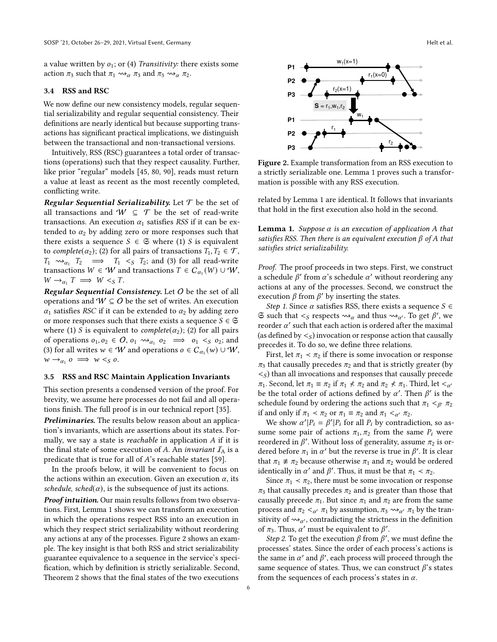a value written by  $o_1$ ; or (4) Transitivity: there exists some action  $\pi_3$  such that  $\pi_1 \rightsquigarrow_{\alpha} \pi_3$  and  $\pi_3 \rightsquigarrow_{\alpha} \pi_2$ .

#### <span id="page-5-0"></span>3.4 RSS and RSC

We now define our new consistency models, regular sequential serializability and regular sequential consistency. Their definitions are nearly identical but because supporting transactions has significant practical implications, we distinguish between the transactional and non-transactional versions.

Intuitively, RSS (RSC) guarantees a total order of transactions (operations) such that they respect causality. Further, like prior "regular" models [\[45,](#page-15-12) [80,](#page-16-5) [90\]](#page-16-6), reads must return a value at least as recent as the most recently completed, conflicting write.

**Regular Sequential Serializability.** Let  $T$  be the set of all transactions and  $W \subseteq T$  be the set of read-write transactions. An execution  $\alpha_1$  satisfies RSS if it can be extended to  $\alpha_2$  by adding zero or more responses such that there exists a sequence  $S \in \mathfrak{S}$  where (1) S is equivalent to complete( $\alpha_2$ ); (2) for all pairs of transactions  $T_1, T_2 \in \mathcal{T}$ ,  $T_1 \rightsquigarrow_{\alpha_1} T_2 \implies T_1 \ltimes_S T_2$ ; and (3) for all read-write transactions  $W \in W$  and transactions  $T \in C_{\alpha_1}(W) \cup W$ ,  $W \rightarrow_{\alpha_1} T \implies W <_{S} T.$ 

Regular Sequential Consistency. Let  $O$  be the set of all operations and  $W \subseteq O$  be the set of writes. An execution  $\alpha_1$  satisfies RSC if it can be extended to  $\alpha_2$  by adding zero or more responses such that there exists a sequence  $S \in \mathfrak{S}$ where (1) *S* is equivalent to *complete*( $\alpha_2$ ); (2) for all pairs of operations  $o_1, o_2 \in O$ ,  $o_1 \rightsquigarrow_{\alpha_1} o_2 \implies o_1 \lt s o_2$ ; and (3) for all writes  $w \in W$  and operations  $o \in C_{\alpha_1}(w) \cup W$ ,  $w \rightarrow_{\alpha_1} 0 \implies w <_{S} 0.$ 

## <span id="page-5-1"></span>3.5 RSS and RSC Maintain Application Invariants

This section presents a condensed version of the proof. For brevity, we assume here processes do not fail and all operations finish. The full proof is in our technical report [\[35\]](#page-14-9).

Preliminaries. The results below reason about an application's invariants, which are assertions about its states. Formally, we say a state is *reachable* in application  $A$  if it is the final state of some execution of A. An invariant  $I_A$  is a predicate that is true for all of  $A$ 's reachable states [\[59\]](#page-15-9).

In the proofs below, it will be convenient to focus on the actions within an execution. Given an execution  $\alpha$ , its schedule, sched( $\alpha$ ), is the subsequence of just its actions.

Proof intuition. Our main results follows from two observations. First, Lemma [1](#page-5-2) shows we can transform an execution in which the operations respect RSS into an execution in which they respect strict serializability without reordering any actions at any of the processes. Figure [2](#page-5-3) shows an example. The key insight is that both RSS and strict serializability guarantee equivalence to a sequence in the service's specification, which by definition is strictly serializable. Second, Theorem [2](#page-6-0) shows that the final states of the two executions

<span id="page-5-3"></span>

Figure 2. Example transformation from an RSS execution to a strictly serializable one. Lemma [1](#page-5-2) proves such a transformation is possible with any RSS execution.

related by Lemma [1](#page-5-2) are identical. It follows that invariants that hold in the first execution also hold in the second.

<span id="page-5-2"></span>**Lemma 1.** Suppose  $\alpha$  is an execution of application A that satisfies RSS. Then there is an equivalent execution  $\beta$  of  $A$  that satisfies strict serializability.

Proof. The proof proceeds in two steps. First, we construct a schedule  $\beta'$  from  $\alpha$ 's schedule  $\alpha'$  without reordering any actions at any of the processes. Second, we construct the execution  $\beta$  from  $\beta'$  by inserting the states.

Step 1. Since  $\alpha$  satisfies RSS, there exists a sequence  $S \in$  $\Im$  such that  $\lt_S$  respects  $\leadsto_\alpha$  and thus  $\leadsto_{\alpha'}$ . To get  $\beta'$ , we reorder  $\alpha'$  such that each action is ordered after the maximal (as defined by  $\leq_S$ ) invocation or response action that causally precedes it. To do so, we define three relations.

First, let  $\pi_1 \prec \pi_2$  if there is some invocation or response  $\pi_3$  that causally precedes  $\pi_2$  and that is strictly greater (by  $\langle s \rangle$  than all invocations and responses that causally precede  $\pi_1$ . Second, let  $\pi_1 \equiv \pi_2$  if  $\pi_1 \nless \pi_2$  and  $\pi_2 \nless \pi_1$ . Third, let  $\lt_{\alpha'}$ be the total order of actions defined by  $\alpha'$ . Then  $\beta'$  is the schedule found by ordering the actions such that  $\pi_1 <_{\beta'} \pi_2$ if and only if  $\pi_1 < \pi_2$  or  $\pi_1 \equiv \pi_2$  and  $\pi_1 <_{\alpha'} \pi_2$ .

We show  $\alpha' | P_i = \beta' | P_i$  for all  $P_i$  by contradiction, so assume some pair of actions  $\pi_1, \pi_2$  from the same  $P_i$  were reordered in  $\beta'$ . Without loss of generality, assume  $\pi_2$  is ordered before  $\pi_1$  in  $\alpha'$  but the reverse is true in  $\beta'$ . It is clear that  $\pi_1 \neq \pi_2$  because otherwise  $\pi_1$  and  $\pi_2$  would be ordered identically in  $\alpha'$  and  $\beta'$ . Thus, it must be that  $\pi_1 < \pi_2$ .

Since  $\pi_1$  <  $\pi_2$ , there must be some invocation or response  $\pi_3$  that causally precedes  $\pi_2$  and is greater than those that causally precede  $\pi_1$ . But since  $\pi_1$  and  $\pi_2$  are from the same process and  $\pi_2 <_{\alpha'} \pi_1$  by assumption,  $\pi_3 \rightsquigarrow_{\alpha'} \pi_1$  by the transitivity of  $\rightsquigarrow_{\alpha'}$ , contradicting the strictness in the definition of  $\pi_3$ . Thus,  $\alpha'$  must be equivalent to  $\beta'$ .

Step 2. To get the execution  $\beta$  from  $\beta'$ , we must define the processes' states. Since the order of each process's actions is the same in  $\alpha'$  and  $\beta'$ , each process will proceed through the same sequence of states. Thus, we can construct  $\beta$ 's states from the sequences of each process's states in  $\alpha$ .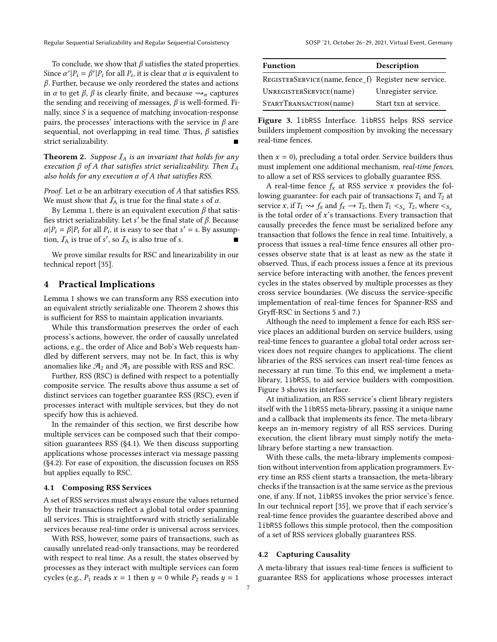Regular Sequential Serializability and Regular Sequential Consistency SOSP '21, October 26-29, 2021, Virtual Event, Germany

To conclude, we show that  $\beta$  satisfies the stated properties. Since  $\alpha' | P_i = \beta' | P_i$  for all  $P_i$ , it is clear that  $\alpha$  is equivalent to  $\beta$ . Further, because we only reordered the states and actions in  $\alpha$  to get  $\beta$ ,  $\beta$  is clearly finite, and because  $\rightsquigarrow_{\alpha}$  captures the sending and receiving of messages,  $\beta$  is well-formed. Finally, since  $S$  is a sequence of matching invocation-response pairs, the processes' interactions with the service in  $\beta$  are sequential, not overlapping in real time. Thus,  $\beta$  satisfies strict serializability.

<span id="page-6-0"></span>**Theorem 2.** Suppose  $I_A$  is an invariant that holds for any execution  $\beta$  of A that satisfies strict serializability. Then  $I_A$ also holds for any execution  $\alpha$  of  $A$  that satisfies RSS.

*Proof.* Let  $\alpha$  be an arbitrary execution of  $A$  that satisfies RSS. We must show that  $I_A$  is true for the final state s of  $\alpha$ .

By Lemma [1,](#page-5-2) there is an equivalent execution  $\beta$  that satisfies strict serializability. Let s' be the final state of  $\beta$ . Because  $\alpha | P_i = \beta | P_i$  for all  $P_i$ , it is easy to see that  $s' = s$ . By assumption,  $\mathcal{I}_A$  is true of s', so  $\mathcal{I}_A$  is also true of s.

We prove similar results for RSC and linearizability in our technical report [\[35\]](#page-14-9).

# 4 Practical Implications

Lemma [1](#page-5-2) shows we can transform any RSS execution into an equivalent strictly serializable one. Theorem [2](#page-6-0) shows this is sufficient for RSS to maintain application invariants.

While this transformation preserves the order of each process's actions, however, the order of causally unrelated actions, e.g., the order of Alice and Bob's Web requests handled by different servers, may not be. In fact, this is why anomalies like  $\mathcal{A}_2$  and  $\mathcal{A}_3$  are possible with RSS and RSC.

Further, RSS (RSC) is defined with respect to a potentially composite service. The results above thus assume a set of distinct services can together guarantee RSS (RSC), even if processes interact with multiple services, but they do not specify how this is achieved.

In the remainder of this section, we first describe how multiple services can be composed such that their composition guarantees RSS ([ğ4.1\)](#page-6-1). We then discuss supporting applications whose processes interact via message passing ([ğ4.2\)](#page-6-2). For ease of exposition, the discussion focuses on RSS but applies equally to RSC.

#### <span id="page-6-1"></span>4.1 Composing RSS Services

A set of RSS services must always ensure the values returned by their transactions reflect a global total order spanning all services. This is straightforward with strictly serializable services because real-time order is universal across services.

With RSS, however, some pairs of transactions, such as causally unrelated read-only transactions, may be reordered with respect to real time. As a result, the states observed by processes as they interact with multiple services can form cycles (e.g.,  $P_1$  reads  $x = 1$  then  $y = 0$  while  $P_2$  reads  $y = 1$ 

<span id="page-6-3"></span>

| <b>Function</b>                                      | Description           |
|------------------------------------------------------|-----------------------|
| REGISTERSERVICE(name, fence_f) Register new service. |                       |
| UNREGISTERSERVICE(name)                              | Unregister service.   |
| STARTTRANSACTION(name)                               | Start txn at service. |

Figure 3. libRSS Interface. libRSS helps RSS service builders implement composition by invoking the necessary real-time fences.

then  $x = 0$ ), precluding a total order. Service builders thus must implement one additional mechanism, real-time fences, to allow a set of RSS services to globally guarantee RSS.

A real-time fence  $f_x$  at RSS service x provides the following guarantee: for each pair of transactions  $T_1$  and  $T_2$  at service x, if  $T_1 \rightsquigarrow f_x$  and  $f_x \rightarrow T_2$ , then  $T_1 <_{S_x} T_2$ , where  $\lt_{S_x}$ is the total order of  $x$ 's transactions. Every transaction that causally precedes the fence must be serialized before any transaction that follows the fence in real time. Intuitively, a process that issues a real-time fence ensures all other processes observe state that is at least as new as the state it observed. Thus, if each process issues a fence at its previous service before interacting with another, the fences prevent cycles in the states observed by multiple processes as they cross service boundaries. (We discuss the service-specific implementation of real-time fences for Spanner-RSS and Gryff-RSC in Sections [5](#page-7-0) and [7.](#page-11-0))

Although the need to implement a fence for each RSS service places an additional burden on service builders, using real-time fences to guarantee a global total order across services does not require changes to applications. The client libraries of the RSS services can insert real-time fences as necessary at run time. To this end, we implement a metalibrary, libRSS, to aid service builders with composition. Figure [3](#page-6-3) shows its interface.

At initialization, an RSS service's client library registers itself with the libRSS meta-library, passing it a unique name and a callback that implements its fence. The meta-library keeps an in-memory registry of all RSS services. During execution, the client library must simply notify the metalibrary before starting a new transaction.

With these calls, the meta-library implements composition without intervention from application programmers. Every time an RSS client starts a transaction, the meta-library checks if the transaction is at the same service as the previous one, if any. If not, libRSS invokes the prior service's fence. In our technical report [\[35\]](#page-14-9), we prove that if each service's real-time fence provides the guarantee described above and libRSS follows this simple protocol, then the composition of a set of RSS services globally guarantees RSS.

## <span id="page-6-2"></span>4.2 Capturing Causality

A meta-library that issues real-time fences is sufficient to guarantee RSS for applications whose processes interact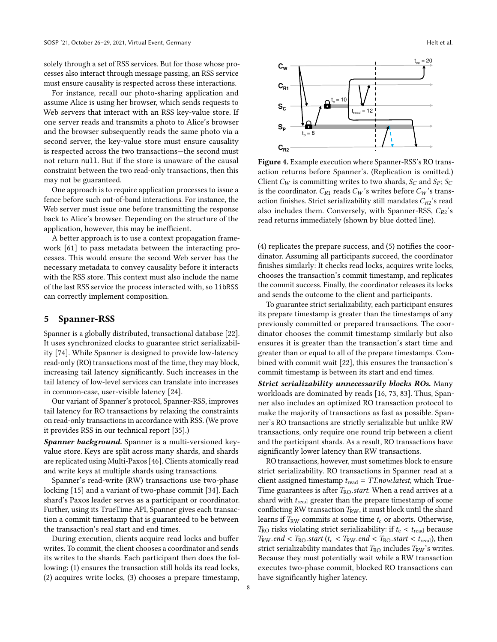solely through a set of RSS services. But for those whose processes also interact through message passing, an RSS service must ensure causality is respected across these interactions.

For instance, recall our photo-sharing application and assume Alice is using her browser, which sends requests to Web servers that interact with an RSS key-value store. If one server reads and transmits a photo to Alice's browser and the browser subsequently reads the same photo via a second server, the key-value store must ensure causality is respected across the two transactions-the second must not return null. But if the store is unaware of the causal constraint between the two read-only transactions, then this may not be guaranteed.

One approach is to require application processes to issue a fence before such out-of-band interactions. For instance, the Web server must issue one before transmitting the response back to Alice's browser. Depending on the structure of the application, however, this may be inefficient.

A better approach is to use a context propagation framework [\[61\]](#page-15-13) to pass metadata between the interacting processes. This would ensure the second Web server has the necessary metadata to convey causality before it interacts with the RSS store. This context must also include the name of the last RSS service the process interacted with, so libRSS can correctly implement composition.

# <span id="page-7-0"></span>5 Spanner-RSS

Spanner is a globally distributed, transactional database [\[22\]](#page-14-2). It uses synchronized clocks to guarantee strict serializability [\[74\]](#page-16-1). While Spanner is designed to provide low-latency read-only (RO) transactions most of the time, they may block, increasing tail latency significantly. Such increases in the tail latency of low-level services can translate into increases in common-case, user-visible latency [\[24\]](#page-14-10).

Our variant of Spanner's protocol, Spanner-RSS, improves tail latency for RO transactions by relaxing the constraints on read-only transactions in accordance with RSS. (We prove it provides RSS in our technical report [\[35\]](#page-14-9).)

Spanner background. Spanner is a multi-versioned keyvalue store. Keys are split across many shards, and shards are replicated using Multi-Paxos [\[46\]](#page-15-14). Clients atomically read and write keys at multiple shards using transactions.

Spanner's read-write (RW) transactions use two-phase locking [\[15\]](#page-14-11) and a variant of two-phase commit [\[34\]](#page-14-12). Each shard's Paxos leader serves as a participant or coordinator. Further, using its TrueTime API, Spanner gives each transaction a commit timestamp that is guaranteed to be between the transaction's real start and end times.

During execution, clients acquire read locks and buffer writes. To commit, the client chooses a coordinator and sends its writes to the shards. Each participant then does the following: (1) ensures the transaction still holds its read locks, (2) acquires write locks, (3) chooses a prepare timestamp,

<span id="page-7-1"></span>

Figure 4. Example execution where Spanner-RSS's RO transaction returns before Spanner's. (Replication is omitted.) Client  $C_W$  is committing writes to two shards,  $S_C$  and  $S_P$ ;  $S_C$ is the coordinator.  $C_{R1}$  reads  $C_W$ 's writes before  $C_W$ 's transaction finishes. Strict serializability still mandates  $C_{R2}$ 's read also includes them. Conversely, with Spanner-RSS,  $C_{R2}$ 's read returns immediately (shown by blue dotted line).

(4) replicates the prepare success, and (5) notifies the coordinator. Assuming all participants succeed, the coordinator finishes similarly: It checks read locks, acquires write locks, chooses the transaction's commit timestamp, and replicates the commit success. Finally, the coordinator releases its locks and sends the outcome to the client and participants.

To guarantee strict serializability, each participant ensures its prepare timestamp is greater than the timestamps of any previously committed or prepared transactions. The coordinator chooses the commit timestamp similarly but also ensures it is greater than the transaction's start time and greater than or equal to all of the prepare timestamps. Combined with commit wait [\[22\]](#page-14-2), this ensures the transaction's commit timestamp is between its start and end times.

Strict serializability unnecessarily blocks ROs. Many workloads are dominated by reads [\[16,](#page-14-6) [73,](#page-16-7) [83\]](#page-16-8). Thus, Spanner also includes an optimized RO transaction protocol to make the majority of transactions as fast as possible. Spanner's RO transactions are strictly serializable but unlike RW transactions, only require one round trip between a client and the participant shards. As a result, RO transactions have significantly lower latency than RW transactions.

RO transactions, however, must sometimes block to ensure strict serializability. RO transactions in Spanner read at a client assigned timestamp  $t_{\text{read}} = TTnowlatest$ , which True-Time guarantees is after  $T_{\text{RO}}$ .start. When a read arrives at a shard with  $t_{\text{read}}$  greater than the prepare timestamp of some conflicting RW transaction  $T_{\rm RW}$ , it must block until the shard learns if  $T_{RW}$  commits at some time  $t_c$  or aborts. Otherwise,  $T_{\rm RO}$  risks violating strict serializability: if  $t_{\rm c} < t_{\rm read}$  because  $T_{\text{RW}}$ .end <  $T_{\text{RO}}$ .start ( $t_{\text{c}}$  <  $T_{\text{RW}}$ .end <  $T_{\text{RO}}$ .start <  $t_{\text{read}}$ ), then strict serializability mandates that  $T_{\text{RO}}$  includes  $T_{\text{RW}}$ 's writes. Because they must potentially wait while a RW transaction executes two-phase commit, blocked RO transactions can have significantly higher latency.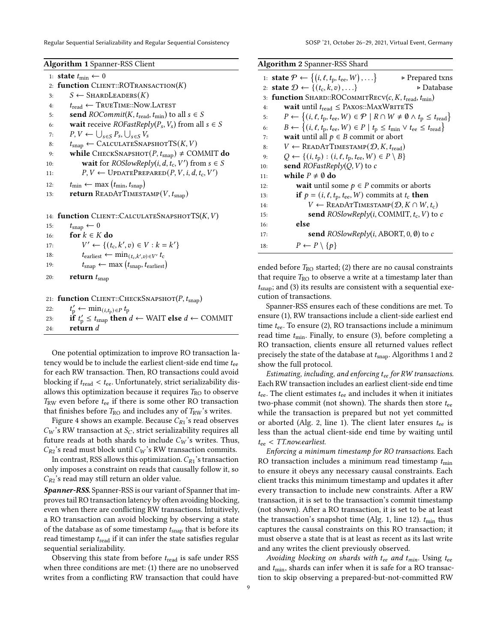Regular Sequential Serializability and Regular Sequential Consistency Same SOSP '21, October 26-29, 2021, Virtual Event, Germany

<span id="page-8-0"></span>

| <b>Algorithm 1 Spanner-RSS Client</b> |
|---------------------------------------|

|     | 1: <b>state</b> $t_{\min} \leftarrow 0$                                                                       |
|-----|---------------------------------------------------------------------------------------------------------------|
|     | 2: function $CLIENT::ROTRANSACTION(K)$                                                                        |
| 3:  | $S \leftarrow$ SHARDLEADERS $(K)$                                                                             |
| 4:  | $t_{\text{read}} \leftarrow \text{TRUETIME::Now.LATEST}$                                                      |
| 5:  | send $ROCommit(K, t_{\text{read}}, t_{\text{min}})$ to all $s \in S$                                          |
| 6:  | <b>wait</b> receive <i>ROFastReply</i> ( $P_s$ , $V_s$ ) from all $s \in S$                                   |
| 7:  | $P, V \leftarrow \bigcup_{s \in S} P_s, \bigcup_{s \in S} V_s$                                                |
| 8:  | $t_{\text{snap}} \leftarrow$ CALCULATESNAPSHOTTS $(K, V)$                                                     |
| 9:  | while CHECKSNAPSHOT $(P, t_{\text{snap}}) \neq$ COMMIT do                                                     |
| 10: | <b>wait</b> for <i>ROSlowReply</i> ( <i>i</i> , <i>d</i> , <i>t</i> <sub>c</sub> , <i>V</i> ') from $s \in S$ |
| 11: | $P, V \leftarrow \text{UPDATEPREDATED}(P, V, i, d, t_c, V')$                                                  |
| 12: | $t_{\min} \leftarrow \max(t_{\min}, t_{\text{snap}})$                                                         |
| 13: | <b>return</b> READATTIMESTAMP $(V, t_{\text{snap}})$                                                          |
|     |                                                                                                               |
|     | 14: function CLIENT::CALCULATESNAPSHOTTS(K, V)                                                                |
| 15: | $t_{\text{snap}} \leftarrow 0$                                                                                |

| 16: | for $k \in K$ do                                                        |
|-----|-------------------------------------------------------------------------|
| 17: | $V' \leftarrow \{(t_c, k', v) \in V : k = k'\}$                         |
| 18: | $t_{\text{earliest}} \leftarrow \min_{(t_c, k', v) \in V'} t_c$         |
| 19: | $t_{\text{snap}} \leftarrow \max(t_{\text{snap}}, t_{\text{earliest}})$ |
| 20: | return $t_{\text{snap}}$                                                |

|     | 21: function CLIENT::CHECKSNAPSHOT $(P, t_{\text{snap}})$                              |
|-----|----------------------------------------------------------------------------------------|
|     | 22: $t'_{p} \leftarrow \min_{(i,t_p) \in P} t_p$                                       |
| 23: | if $t'_p \n\t\leq t_{\text{snap}}$ then $d \leftarrow$ WAIT else $d \leftarrow$ COMMIT |
| 24: | return $d$                                                                             |

One potential optimization to improve RO transaction latency would be to include the earliest client-side end time  $t_{ee}$ for each RW transaction. Then, RO transactions could avoid blocking if  $t_{\text{read}} < t_{\text{ee}}$ . Unfortunately, strict serializability disallows this optimization because it requires  $T_{\text{RO}}$  to observe  $T_{RW}$  even before  $t_{ee}$  if there is some other RO transaction that finishes before  $T_{\text{RO}}$  and includes any of  $T_{\text{RW}}$ 's writes.

Figure [4](#page-7-1) shows an example. Because  $C_{R1}$ 's read observes  $C_W$ 's RW transaction at  $S_C$ , strict serializability requires all future reads at both shards to include  $C_W$ 's writes. Thus,  $C_{R2}$ 's read must block until  $C_W$ 's RW transaction commits.

In contrast, RSS allows this optimization.  $C_{R1}$ 's transaction only imposes a constraint on reads that causally follow it, so  $C_{R2}$ 's read may still return an older value.

Spanner-RSS. Spanner-RSS is our variant of Spanner that improves tail RO transaction latency by often avoiding blocking, even when there are conflicting RW transactions. Intuitively, a RO transaction can avoid blocking by observing a state of the database as of some timestamp  $t_{\text{snap}}$  that is before its read timestamp  $t_{\text{read}}$  if it can infer the state satisfies regular sequential serializability.

Observing this state from before  $t_{\text{read}}$  is safe under RSS when three conditions are met: (1) there are no unobserved writes from a conflicting RW transaction that could have

<span id="page-8-1"></span>

|     | <b>Algorithm 2</b> Spanner-RSS Shard                                                                               |
|-----|--------------------------------------------------------------------------------------------------------------------|
|     | 1: state $\mathcal{P} \leftarrow \{(i, \ell, t_{p}, t_{ee}, W), \ldots\}$<br>► Prepared txns                       |
|     | 2: state $\mathcal{D} \leftarrow \{(t_c, k, v), \ldots\}$<br>⊳ Database                                            |
|     | 3: function SHARD::ROCOMMITRECV( $c, K, t_{\text{read}}, t_{\text{min}}$ )                                         |
| 4:  | wait until $t_{\text{read}} \leq$ PAXOS::MAXWRITETS                                                                |
| 5:  | $P \leftarrow \{(i, \ell, t_p, t_{ee}, W) \in \mathcal{P} \mid R \cap W \neq \emptyset \land t_p \leq t_{read}\}\$ |
| 6:  | $B \leftarrow \{(i, \ell, t_{p}, t_{ee}, W) \in P \mid t_{p} \leq t_{min} \vee t_{ee} \leq t_{read}\}\$            |
| 7:  | <b>wait</b> until all $p \in B$ commit or abort                                                                    |
| 8:  | $V \leftarrow \text{READATTIMESTAMP}(\mathcal{D}, K, t_{\text{read}})$                                             |
| 9:  | $Q \leftarrow \{(i, t_p) : (i, \ell, t_p, t_{ee}, W) \in P \setminus B\}$                                          |
| 10: | <b>send</b> <i>ROFastReply</i> ( <i>Q, V</i> ) to <i>c</i>                                                         |
| 11: | while $P \neq \emptyset$ do                                                                                        |
| 12: | <b>wait</b> until some $p \in P$ commits or aborts                                                                 |
| 13: | if $p = (i, \ell, t_p, t_{ee}, W)$ commits at $t_c$ then                                                           |
| 14: | $V \leftarrow \text{READATTIMESTAMP}(\mathcal{D}, K \cap W, t_c)$                                                  |
| 15: | send ROSlowReply(i, COMMIT, $t_c$ , V) to c                                                                        |
| 16: | else                                                                                                               |
| 17: | send $ROSlowReply(i, ABORT, 0, \emptyset)$ to c                                                                    |
| 18: | $P \leftarrow P \setminus \{p\}$                                                                                   |

ended before  $T_{\text{RO}}$  started; (2) there are no causal constraints that require  $T_{\text{RO}}$  to observe a write at a timestamp later than  $t_{\rm{snap}}$ ; and (3) its results are consistent with a sequential execution of transactions.

Spanner-RSS ensures each of these conditions are met. To ensure (1), RW transactions include a client-side earliest end time  $t_{ee}$ . To ensure (2), RO transactions include a minimum read time  $t_{\min}$ . Finally, to ensure (3), before completing a RO transaction, clients ensure all returned values reflect precisely the state of the database at  $t_{\text{snap}}$ . Algorithms [1](#page-8-0) and [2](#page-8-1) show the full protocol.

Estimating, including, and enforcing  $t_{ee}$  for RW transactions. Each RW transaction includes an earliest client-side end time  $t_{\text{ee}}$ . The client estimates  $t_{\text{ee}}$  and includes it when it initiates two-phase commit (not shown). The shards then store  $t_{ee}$ while the transaction is prepared but not yet committed or aborted (Alg. [2,](#page-8-1) line 1). The client later ensures  $t_{ee}$  is less than the actual client-side end time by waiting until  $t_{ee}$  < TT.now.earliest.

Enforcing a minimum timestamp for RO transactions. Each RO transaction includes a minimum read timestamp  $t_{\min}$ to ensure it obeys any necessary causal constraints. Each client tracks this minimum timestamp and updates it after every transaction to include new constraints. After a RW transaction, it is set to the transaction's commit timestamp (not shown). After a RO transaction, it is set to be at least the transaction's snapshot time (Alg. [1,](#page-8-0) line 12).  $t_{\text{min}}$  thus captures the causal constraints on this RO transaction; it must observe a state that is at least as recent as its last write and any writes the client previously observed.

Avoiding blocking on shards with  $t_{ee}$  and  $t_{min}$ . Using  $t_{ee}$ and  $t_{\text{min}}$ , shards can infer when it is safe for a RO transaction to skip observing a prepared-but-not-committed RW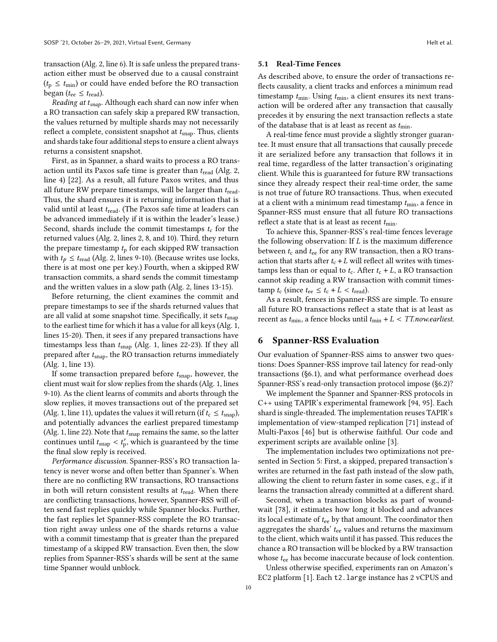transaction (Alg. [2,](#page-8-1) line 6). It is safe unless the prepared transaction either must be observed due to a causal constraint  $(t_p \leq t_{\text{min}})$  or could have ended before the RO transaction began ( $t_{ee} \leq t_{\text{read}}$ ).

Reading at  $t_{snap}$ . Although each shard can now infer when a RO transaction can safely skip a prepared RW transaction, the values returned by multiple shards may not necessarily reflect a complete, consistent snapshot at  $t_{\text{snap}}$ . Thus, clients and shards take four additional steps to ensure a client always returns a consistent snapshot.

First, as in Spanner, a shard waits to process a RO transaction until its Paxos safe time is greater than  $t_{\text{read}}$  (Alg. [2,](#page-8-1) line 4) [\[22\]](#page-14-2). As a result, all future Paxos writes, and thus all future RW prepare timestamps, will be larger than  $t_{\text{read}}$ . Thus, the shard ensures it is returning information that is valid until at least  $t_{\text{read}}$ . (The Paxos safe time at leaders can be advanced immediately if it is within the leader's lease.) Second, shards include the commit timestamps  $t_c$  for the returned values (Alg. [2,](#page-8-1) lines 2, 8, and 10). Third, they return the prepare timestamp  $t_p$  for each skipped RW transaction with  $t_p \leq t_{\text{read}}$  (Alg. [2,](#page-8-1) lines 9-10). (Because writes use locks, there is at most one per key.) Fourth, when a skipped RW transaction commits, a shard sends the commit timestamp and the written values in a slow path (Alg. [2,](#page-8-1) lines 13-15).

Before returning, the client examines the commit and prepare timestamps to see if the shards returned values that are all valid at some snapshot time. Specifically, it sets  $t_{\text{snap}}$ to the earliest time for which it has a value for all keys (Alg. [1,](#page-8-0) lines 15-20). Then, it sees if any prepared transactions have timestamps less than  $t_{\text{snap}}$  (Alg. [1,](#page-8-0) lines 22-23). If they all prepared after  $t_{\text{snap}}$ , the RO transaction returns immediately (Alg. [1,](#page-8-0) line 13).

If some transaction prepared before  $t_{\text{snap}}$ , however, the client must wait for slow replies from the shards (Alg. [1,](#page-8-0) lines 9-10). As the client learns of commits and aborts through the slow replies, it moves transactions out of the prepared set (Alg. [1,](#page-8-0) line 11), updates the values it will return (if  $t_c \leq t_{\text{snap}}$ ), and potentially advances the earliest prepared timestamp (Alg. [1,](#page-8-0) line 22). Note that  $t_{\text{snap}}$  remains the same, so the latter continues until  $t_{\text{snap}} < t'_{\text{p}}$ , which is guaranteed by the time the final slow reply is received.

Performance discussion. Spanner-RSS's RO transaction latency is never worse and often better than Spanner's. When there are no conflicting RW transactions, RO transactions in both will return consistent results at  $t_{\text{read}}$ . When there are conflicting transactions, however, Spanner-RSS will often send fast replies quickly while Spanner blocks. Further, the fast replies let Spanner-RSS complete the RO transaction right away unless one of the shards returns a value with a commit timestamp that is greater than the prepared timestamp of a skipped RW transaction. Even then, the slow replies from Spanner-RSS's shards will be sent at the same time Spanner would unblock.

#### 5.1 Real-Time Fences

As described above, to ensure the order of transactions reflects causality, a client tracks and enforces a minimum read timestamp  $t_{\min}$ . Using  $t_{\min}$ , a client ensures its next transaction will be ordered after any transaction that causally precedes it by ensuring the next transaction reflects a state of the database that is at least as recent as  $t_{\text{min}}$ .

A real-time fence must provide a slightly stronger guarantee. It must ensure that all transactions that causally precede it are serialized before any transaction that follows it in real time, regardless of the latter transaction's originating client. While this is guaranteed for future RW transactions since they already respect their real-time order, the same is not true of future RO transactions. Thus, when executed at a client with a minimum read timestamp  $t_{\min}$ , a fence in Spanner-RSS must ensure that all future RO transactions reflect a state that is at least as recent  $t_{\min}$ .

To achieve this, Spanner-RSS's real-time fences leverage the following observation: If  $L$  is the maximum difference between  $t_c$  and  $t_{ee}$  for any RW transaction, then a RO transaction that starts after  $t_c + L$  will reflect all writes with timestamps less than or equal to  $t_c$ . After  $t_c + L$ , a RO transaction cannot skip reading a RW transaction with commit times- $\tanh t_c$  (since  $t_{ee} \leq t_c + L < t_{read}$ ).

As a result, fences in Spanner-RSS are simple. To ensure all future RO transactions reflect a state that is at least as recent as  $t_{\text{min}}$ , a fence blocks until  $t_{\text{min}} + L < TT$ .now.earliest.

# 6 Spanner-RSS Evaluation

Our evaluation of Spanner-RSS aims to answer two questions: Does Spanner-RSS improve tail latency for read-only transactions ([ğ6.1\)](#page-10-0), and what performance overhead does Spanner-RSS's read-only transaction protocol impose ([ğ6.2\)](#page-10-1)?

We implement the Spanner and Spanner-RSS protocols in C++ using TAPIR's experimental framework [\[94,](#page-16-2) [95\]](#page-16-3). Each shard is single-threaded. The implementation reuses TAPIR's implementation of view-stamped replication [\[71\]](#page-15-15) instead of Multi-Paxos [\[46\]](#page-15-14) but is otherwise faithful. Our code and experiment scripts are available online [\[3\]](#page-14-13).

The implementation includes two optimizations not presented in Section [5:](#page-7-0) First, a skipped, prepared transaction's writes are returned in the fast path instead of the slow path, allowing the client to return faster in some cases, e.g., if it learns the transaction already committed at a different shard.

Second, when a transaction blocks as part of woundwait [\[78\]](#page-16-9), it estimates how long it blocked and advances its local estimate of  $t_{ee}$  by that amount. The coordinator then aggregates the shards'  $t_{ee}$  values and returns the maximum to the client, which waits until it has passed. This reduces the chance a RO transaction will be blocked by a RW transaction whose  $t_{ee}$  has become inaccurate because of lock contention.

Unless otherwise specified, experiments ran on Amazon's EC2 platform [\[1\]](#page-14-14). Each t2.large instance has 2 vCPUS and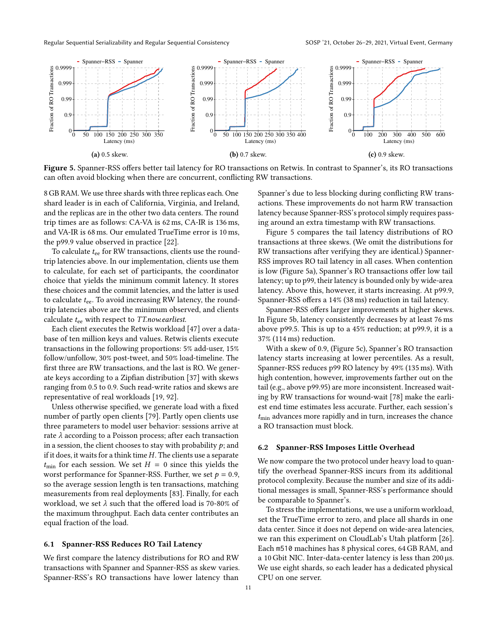<span id="page-10-2"></span>

Figure 5. Spanner-RSS offers better tail latency for RO transactions on Retwis. In contrast to Spanner's, its RO transactions can often avoid blocking when there are concurrent, conflicting RW transactions.

8 GB RAM. We use three shards with three replicas each. One shard leader is in each of California, Virginia, and Ireland, and the replicas are in the other two data centers. The round trip times are as follows: CA-VA is 62 ms, CA-IR is 136 ms, and VA-IR is 68 ms. Our emulated TrueTime error is 10 ms, the p99.9 value observed in practice [\[22\]](#page-14-2).

To calculate  $t_{ee}$  for RW transactions, clients use the roundtrip latencies above. In our implementation, clients use them to calculate, for each set of participants, the coordinator choice that yields the minimum commit latency. It stores these choices and the commit latencies, and the latter is used to calculate  $t_{ee}$ . To avoid increasing RW latency, the roundtrip latencies above are the minimum observed, and clients calculate  $t_{ee}$  with respect to TT.now.earliest.

Each client executes the Retwis workload [\[47\]](#page-15-16) over a database of ten million keys and values. Retwis clients execute transactions in the following proportions: 5% add-user, 15% follow/unfollow, 30% post-tweet, and 50% load-timeline. The first three are RW transactions, and the last is RO. We generate keys according to a Zipfian distribution [\[37\]](#page-15-17) with skews ranging from 0.5 to 0.9. Such read-write ratios and skews are representative of real workloads [\[19,](#page-14-15) [92\]](#page-16-10).

Unless otherwise specified, we generate load with a fixed number of partly open clients [\[79\]](#page-16-11). Partly open clients use three parameters to model user behavior: sessions arrive at rate  $\lambda$  according to a Poisson process; after each transaction in a session, the client chooses to stay with probability  $p$ ; and if it does, it waits for a think time  $H$ . The clients use a separate  $t_{\text{min}}$  for each session. We set  $H = 0$  since this yields the worst performance for Spanner-RSS. Further, we set  $p = 0.9$ , so the average session length is ten transactions, matching measurements from real deployments [\[83\]](#page-16-8). Finally, for each workload, we set  $\lambda$  such that the offered load is 70-80% of the maximum throughput. Each data center contributes an equal fraction of the load.

#### <span id="page-10-0"></span>6.1 Spanner-RSS Reduces RO Tail Latency

We first compare the latency distributions for RO and RW transactions with Spanner and Spanner-RSS as skew varies. Spanner-RSS's RO transactions have lower latency than

Spanner's due to less blocking during conflicting RW transactions. These improvements do not harm RW transaction latency because Spanner-RSS's protocol simply requires passing around an extra timestamp with RW transactions.

Figure [5](#page-10-2) compares the tail latency distributions of RO transactions at three skews. (We omit the distributions for RW transactions after verifying they are identical.) Spanner-RSS improves RO tail latency in all cases. When contention is low (Figure [5a\)](#page-10-2), Spanner's RO transactions offer low tail latency; up to p99, their latency is bounded only by wide-area latency. Above this, however, it starts increasing. At p99.9, Spanner-RSS offers a 14% (38 ms) reduction in tail latency.

Spanner-RSS offers larger improvements at higher skews. In Figure [5b,](#page-10-2) latency consistently decreases by at least 76 ms above p99.5. This is up to a 45% reduction; at p99.9, it is a 37% (114 ms) reduction.

With a skew of 0.9, (Figure [5c\)](#page-10-2), Spanner's RO transaction latency starts increasing at lower percentiles. As a result, Spanner-RSS reduces p99 RO latency by 49% (135 ms). With high contention, however, improvements farther out on the tail (e.g., above p99.95) are more inconsistent. Increased waiting by RW transactions for wound-wait [\[78\]](#page-16-9) make the earliest end time estimates less accurate. Further, each session's  $t_{\text{min}}$  advances more rapidly and in turn, increases the chance a RO transaction must block.

#### <span id="page-10-1"></span>6.2 Spanner-RSS Imposes Little Overhead

We now compare the two protocol under heavy load to quantify the overhead Spanner-RSS incurs from its additional protocol complexity. Because the number and size of its additional messages is small, Spanner-RSS's performance should be comparable to Spanner's.

To stress the implementations, we use a uniform workload, set the TrueTime error to zero, and place all shards in one data center. Since it does not depend on wide-area latencies, we ran this experiment on CloudLab's Utah platform [\[26\]](#page-14-16). Each m510 machines has 8 physical cores, 64 GB RAM, and a 10 Gbit NIC. Inter-data-center latency is less than 200 µs. We use eight shards, so each leader has a dedicated physical CPU on one server.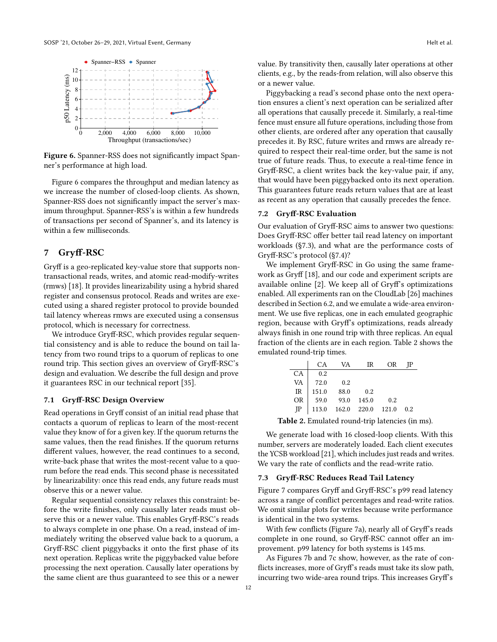<span id="page-11-1"></span>

Figure 6. Spanner-RSS does not significantly impact Spanner's performance at high load.

Figure [6](#page-11-1) compares the throughput and median latency as we increase the number of closed-loop clients. As shown, Spanner-RSS does not significantly impact the server's maximum throughput. Spanner-RSS's is within a few hundreds of transactions per second of Spanner's, and its latency is within a few milliseconds.

# <span id="page-11-0"></span>7 Gryff-RSC

Gryff is a geo-replicated key-value store that supports nontransactional reads, writes, and atomic read-modify-writes (rmws) [\[18\]](#page-14-5). It provides linearizability using a hybrid shared register and consensus protocol. Reads and writes are executed using a shared register protocol to provide bounded tail latency whereas rmws are executed using a consensus protocol, which is necessary for correctness.

We introduce Gryff-RSC, which provides regular sequential consistency and is able to reduce the bound on tail latency from two round trips to a quorum of replicas to one round trip. This section gives an overview of Gryff-RSC's design and evaluation. We describe the full design and prove it guarantees RSC in our technical report [\[35\]](#page-14-9).

## 7.1 Gryff-RSC Design Overview

Read operations in Gryff consist of an initial read phase that contacts a quorum of replicas to learn of the most-recent value they know of for a given key. If the quorum returns the same values, then the read finishes. If the quorum returns different values, however, the read continues to a second, write-back phase that writes the most-recent value to a quorum before the read ends. This second phase is necessitated by linearizability: once this read ends, any future reads must observe this or a newer value.

Regular sequential consistency relaxes this constraint: before the write finishes, only causally later reads must observe this or a newer value. This enables Gryff-RSC's reads to always complete in one phase. On a read, instead of immediately writing the observed value back to a quorum, a Gryff-RSC client piggybacks it onto the first phase of its next operation. Replicas write the piggybacked value before processing the next operation. Causally later operations by the same client are thus guaranteed to see this or a newer

value. By transitivity then, causally later operations at other clients, e.g., by the reads-from relation, will also observe this or a newer value.

Piggybacking a read's second phase onto the next operation ensures a client's next operation can be serialized after all operations that causally precede it. Similarly, a real-time fence must ensure all future operations, including those from other clients, are ordered after any operation that causally precedes it. By RSC, future writes and rmws are already required to respect their real-time order, but the same is not true of future reads. Thus, to execute a real-time fence in Gryff-RSC, a client writes back the key-value pair, if any, that would have been piggybacked onto its next operation. This guarantees future reads return values that are at least as recent as any operation that causally precedes the fence.

## 7.2 Gryff-RSC Evaluation

Our evaluation of Gryff-RSC aims to answer two questions: Does Gryff-RSC offer better tail read latency on important workloads ([ğ7.3\)](#page-11-2), and what are the performance costs of Gryff-RSC's protocol ([ğ7.4\)](#page-12-0)?

We implement Gryff-RSC in Go using the same framework as Gryff [\[18\]](#page-14-5), and our code and experiment scripts are available online [\[2\]](#page-14-17). We keep all of Gryff's optimizations enabled. All experiments ran on the CloudLab [\[26\]](#page-14-16) machines described in Section [6.2,](#page-10-1) and we emulate a wide-area environment. We use five replicas, one in each emulated geographic region, because with Gryff's optimizations, reads already always finish in one round trip with three replicas. An equal fraction of the clients are in each region. Table [2](#page-11-3) shows the emulated round-trip times.

<span id="page-11-3"></span>

|             | CA.   | VA.                 | IR    | ΟR    | -IP |
|-------------|-------|---------------------|-------|-------|-----|
|             | 0.2   |                     |       |       |     |
| CA<br>VA    | 72.0  | 0.2                 |       |       |     |
| $_{\rm IR}$ | 151.0 | 88.0                | 0.2   |       |     |
| <b>OR</b>   | 59.0  | 93.0                | 145.0 | 0.2   |     |
| <b>IP</b>   |       | 113.0  162.0  220.0 |       | 121.0 | 0.2 |

Table 2. Emulated round-trip latencies (in ms).

We generate load with 16 closed-loop clients. With this number, servers are moderately loaded. Each client executes the YCSB workload [\[21\]](#page-14-18), which includes just reads and writes. We vary the rate of conflicts and the read-write ratio.

# <span id="page-11-2"></span>7.3 Gryff-RSC Reduces Read Tail Latency

Figure [7](#page-12-1) compares Gryff and Gryff-RSC's p99 read latency across a range of conflict percentages and read-write ratios. We omit similar plots for writes because write performance is identical in the two systems.

With few conflicts (Figure [7a\)](#page-12-1), nearly all of Gryff's reads complete in one round, so Gryff-RSC cannot offer an improvement. p99 latency for both systems is 145 ms.

As Figures [7b](#page-12-1) and [7c](#page-12-1) show, however, as the rate of conflicts increases, more of Gryff's reads must take its slow path, incurring two wide-area round trips. This increases Gryff's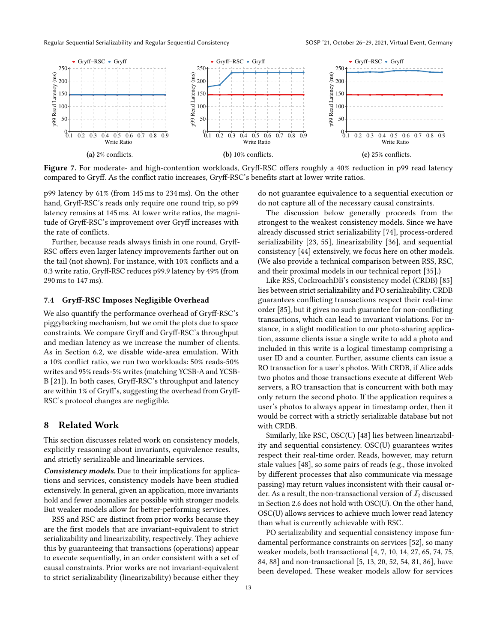<span id="page-12-1"></span>

Figure 7. For moderate- and high-contention workloads, Gryff-RSC offers roughly a 40% reduction in p99 read latency compared to Gryff. As the conflict ratio increases, Gryff-RSC's benefits start at lower write ratios.

p99 latency by 61% (from 145 ms to 234 ms). On the other hand, Gryff-RSC's reads only require one round trip, so p99 latency remains at 145 ms. At lower write ratios, the magnitude of Gryff-RSC's improvement over Gryff increases with the rate of conflicts.

Further, because reads always finish in one round, Gryff-RSC offers even larger latency improvements farther out on the tail (not shown). For instance, with 10% conflicts and a 0.3 write ratio, Gryff-RSC reduces p99.9 latency by 49% (from 290 ms to 147 ms).

#### <span id="page-12-0"></span>7.4 Gryff-RSC Imposes Negligible Overhead

We also quantify the performance overhead of Gryff-RSC's piggybacking mechanism, but we omit the plots due to space constraints. We compare Gryff and Gryff-RSC's throughput and median latency as we increase the number of clients. As in Section [6.2,](#page-10-1) we disable wide-area emulation. With a 10% conflict ratio, we run two workloads: 50% reads-50% writes and 95% reads-5% writes (matching YCSB-A and YCSB-B [\[21\]](#page-14-18)). In both cases, Gryff-RSC's throughput and latency are within 1% of Gryff's, suggesting the overhead from Gryff-RSC's protocol changes are negligible.

# 8 Related Work

This section discusses related work on consistency models, explicitly reasoning about invariants, equivalence results, and strictly serializable and linearizable services.

Consistency models. Due to their implications for applications and services, consistency models have been studied extensively. In general, given an application, more invariants hold and fewer anomalies are possible with stronger models. But weaker models allow for better-performing services.

RSS and RSC are distinct from prior works because they are the first models that are invariant-equivalent to strict serializability and linearizability, respectively. They achieve this by guaranteeing that transactions (operations) appear to execute sequentially, in an order consistent with a set of causal constraints. Prior works are not invariant-equivalent to strict serializability (linearizability) because either they do not guarantee equivalence to a sequential execution or do not capture all of the necessary causal constraints.

The discussion below generally proceeds from the strongest to the weakest consistency models. Since we have already discussed strict serializability [\[74\]](#page-16-1), process-ordered serializability [\[23,](#page-14-7) [55\]](#page-15-7), linearizability [\[36\]](#page-15-0), and sequential consistency [\[44\]](#page-15-4) extensively, we focus here on other models. (We also provide a technical comparison between RSS, RSC, and their proximal models in our technical report [\[35\]](#page-14-9).)

Like RSS, CockroachDB's consistency model (CRDB) [\[85\]](#page-16-12) lies between strict serializability and PO serializability. CRDB guarantees conflicting transactions respect their real-time order [\[85\]](#page-16-12), but it gives no such guarantee for non-conflicting transactions, which can lead to invariant violations. For instance, in a slight modification to our photo-sharing application, assume clients issue a single write to add a photo and included in this write is a logical timestamp comprising a user ID and a counter. Further, assume clients can issue a RO transaction for a user's photos. With CRDB, if Alice adds two photos and those transactions execute at different Web servers, a RO transaction that is concurrent with both may only return the second photo. If the application requires a user's photos to always appear in timestamp order, then it would be correct with a strictly serializable database but not with CRDB.

Similarly, like RSC, OSC(U) [\[48\]](#page-15-18) lies between linearizability and sequential consistency. OSC(U) guarantees writes respect their real-time order. Reads, however, may return stale values [\[48\]](#page-15-18), so some pairs of reads (e.g., those invoked by different processes that also communicate via message passing) may return values inconsistent with their causal order. As a result, the non-transactional version of  $I_2$  discussed in Section [2.6](#page-3-2) does not hold with OSC(U). On the other hand, OSC(U) allows services to achieve much lower read latency than what is currently achievable with RSC.

PO serializability and sequential consistency impose fundamental performance constraints on services [\[52\]](#page-15-19), so many weaker models, both transactional [\[4,](#page-14-19) [7,](#page-14-4) [10,](#page-14-0) [14,](#page-14-20) [27,](#page-14-21) [65,](#page-15-20) [74,](#page-16-1) [75,](#page-16-13) [84,](#page-16-14) [88\]](#page-16-15) and non-transactional [\[5,](#page-14-3) [13,](#page-14-22) [20,](#page-14-23) [52,](#page-15-19) [54,](#page-15-3) [81,](#page-16-16) [86\]](#page-16-17), have been developed. These weaker models allow for services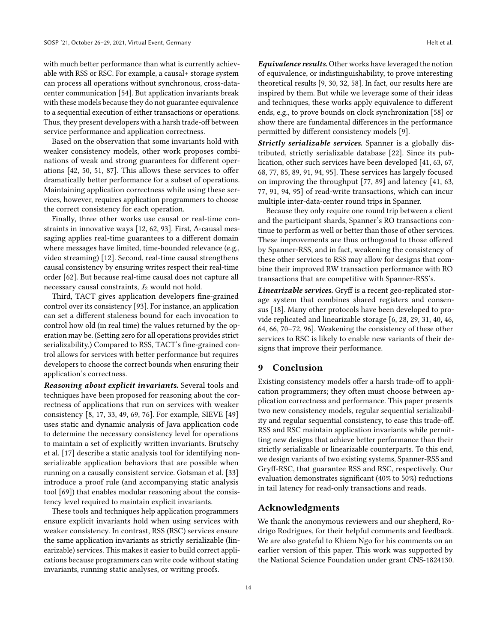with much better performance than what is currently achievable with RSS or RSC. For example, a causal+ storage system can process all operations without synchronous, cross-datacenter communication [\[54\]](#page-15-3). But application invariants break with these models because they do not guarantee equivalence to a sequential execution of either transactions or operations. Thus, they present developers with a harsh trade-off between service performance and application correctness.

Based on the observation that some invariants hold with weaker consistency models, other work proposes combinations of weak and strong guarantees for different operations [\[42,](#page-15-21) [50,](#page-15-22) [51,](#page-15-23) [87\]](#page-16-18). This allows these services to offer dramatically better performance for a subset of operations. Maintaining application correctness while using these services, however, requires application programmers to choose the correct consistency for each operation.

Finally, three other works use causal or real-time constraints in innovative ways [\[12,](#page-14-24) [62,](#page-15-24) [93\]](#page-16-19). First, Δ-causal messaging applies real-time guarantees to a different domain where messages have limited, time-bounded relevance (e.g., video streaming) [\[12\]](#page-14-24). Second, real-time causal strengthens causal consistency by ensuring writes respect their real-time order [\[62\]](#page-15-24). But because real-time causal does not capture all necessary causal constraints,  $I_2$  would not hold.

Third, TACT gives application developers fine-grained control over its consistency [\[93\]](#page-16-19). For instance, an application can set a different staleness bound for each invocation to control how old (in real time) the values returned by the operation may be. (Setting zero for all operations provides strict serializability.) Compared to RSS, TACT's fine-grained control allows for services with better performance but requires developers to choose the correct bounds when ensuring their application's correctness.

Reasoning about explicit invariants. Several tools and techniques have been proposed for reasoning about the correctness of applications that run on services with weaker consistency [\[8,](#page-14-25) [17,](#page-14-26) [33,](#page-14-27) [49,](#page-15-25) [69,](#page-15-26) [76\]](#page-16-20). For example, SIEVE [\[49\]](#page-15-25) uses static and dynamic analysis of Java application code to determine the necessary consistency level for operations to maintain a set of explicitly written invariants. Brutschy et al. [\[17\]](#page-14-26) describe a static analysis tool for identifying nonserializable application behaviors that are possible when running on a causally consistent service. Gotsman et al. [\[33\]](#page-14-27) introduce a proof rule (and accompanying static analysis tool [\[69\]](#page-15-26)) that enables modular reasoning about the consistency level required to maintain explicit invariants.

These tools and techniques help application programmers ensure explicit invariants hold when using services with weaker consistency. In contrast, RSS (RSC) services ensure the same application invariants as strictly serializable (linearizable) services. This makes it easier to build correct applications because programmers can write code without stating invariants, running static analyses, or writing proofs.

**Equivalence results.** Other works have leveraged the notion of equivalence, or indistinguishability, to prove interesting theoretical results [\[9,](#page-14-28) [30,](#page-14-29) [32,](#page-14-30) [58\]](#page-15-27). In fact, our results here are inspired by them. But while we leverage some of their ideas and techniques, these works apply equivalence to different ends, e.g., to prove bounds on clock synchronization [\[58\]](#page-15-27) or show there are fundamental differences in the performance permitted by different consistency models [\[9\]](#page-14-28).

Strictly serializable services. Spanner is a globally distributed, strictly serializable database [\[22\]](#page-14-2). Since its publication, other such services have been developed [\[41,](#page-15-28) [63,](#page-15-29) [67,](#page-15-30) [68,](#page-15-31) [77,](#page-16-21) [85,](#page-16-12) [89,](#page-16-22) [91,](#page-16-23) [94,](#page-16-2) [95\]](#page-16-3). These services has largely focused on improving the throughput [\[77,](#page-16-21) [89\]](#page-16-22) and latency [\[41,](#page-15-28) [63,](#page-15-29) [77,](#page-16-21) [91,](#page-16-23) [94,](#page-16-2) [95\]](#page-16-3) of read-write transactions, which can incur multiple inter-data-center round trips in Spanner.

Because they only require one round trip between a client and the participant shards, Spanner's RO transactions continue to perform as well or better than those of other services. These improvements are thus orthogonal to those offered by Spanner-RSS, and in fact, weakening the consistency of these other services to RSS may allow for designs that combine their improved RW transaction performance with RO transactions that are competitive with Spanner-RSS's.

Linearizable services. Gryff is a recent geo-replicated storage system that combines shared registers and consensus [\[18\]](#page-14-5). Many other protocols have been developed to provide replicated and linearizable storage [\[6,](#page-14-31) [28,](#page-14-32) [29,](#page-14-33) [31,](#page-14-34) [40,](#page-15-32) [46,](#page-15-14) [64,](#page-15-33) [66,](#page-15-34) [70](#page-15-35)-72, [96\]](#page-16-25). Weakening the consistency of these other services to RSC is likely to enable new variants of their designs that improve their performance.

# 9 Conclusion

Existing consistency models offer a harsh trade-off to application programmers; they often must choose between application correctness and performance. This paper presents two new consistency models, regular sequential serializability and regular sequential consistency, to ease this trade-off. RSS and RSC maintain application invariants while permitting new designs that achieve better performance than their strictly serializable or linearizable counterparts. To this end, we design variants of two existing systems, Spanner-RSS and Gryff-RSC, that guarantee RSS and RSC, respectively. Our evaluation demonstrates significant (40% to 50%) reductions in tail latency for read-only transactions and reads.

# Acknowledgments

We thank the anonymous reviewers and our shepherd, Rodrigo Rodrigues, for their helpful comments and feedback. We are also grateful to Khiem Ngo for his comments on an earlier version of this paper. This work was supported by the National Science Foundation under grant CNS-1824130.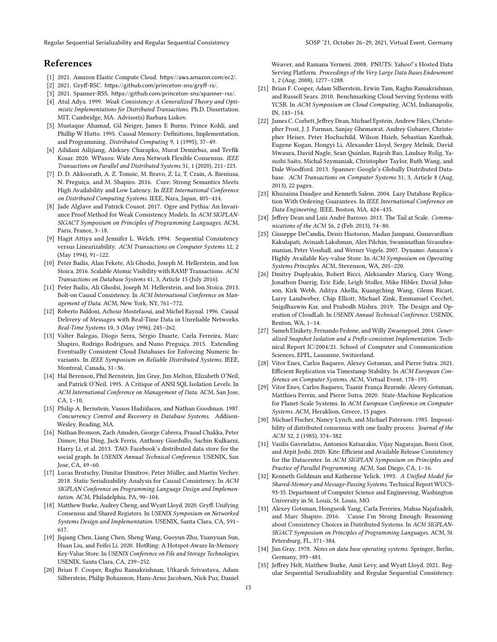Regular Sequential Serializability and Regular Sequential Consistency Same SOSP '21, October 26-29, 2021, Virtual Event, Germany

# References

- <span id="page-14-14"></span>[1] 2021. Amazon Elastic Compute Cloud. <https://aws.amazon.com/ec2/>.
- <span id="page-14-17"></span>[2] 2021. Gryff-RSC. <https://github.com/princeton-sns/gryff-rs/>.
- <span id="page-14-13"></span>[3] 2021. Spanner-RSS. <https://github.com/princeton-sns/spanner-rss/>.
- <span id="page-14-19"></span>[4] Atul Adya. 1999. Weak Consistency: A Generalized Theory and Optimistic Implementations for Distributed Transactions. Ph.D. Dissertation. MIT, Cambridge, MA. Advisor(s) Barbara Liskov.
- <span id="page-14-3"></span>[5] Mustaque Ahamad, Gil Neiger, James E Burns, Prince Kohli, and Phillip W Hutto. 1995. Causal Memory: Definitions, Implementation, and Programming. Distributed Computing 9, 1 (1995), 37-49.
- <span id="page-14-31"></span>[6] Ailidani Ailijiang, Aleksey Charapko, Murat Demirbas, and Tevfik Kosar. 2020. WPaxos: Wide Area Network Flexible Consensus. IEEE Transactions on Parallel and Distributed Systems 31, 1 (2020), 211-223.
- <span id="page-14-4"></span>[7] D. D. Akkoorath, A. Z. Tomsic, M. Bravo, Z. Li, T. Crain, A. Bieniusa, N. Preguiça, and M. Shapiro. 2016. Cure: Strong Semantics Meets High Availability and Low Latency. In IEEE International Conference on Distributed Computing Systems. IEEE, Nara, Japan, 405-414.
- <span id="page-14-25"></span>[8] Jade Alglave and Patrick Cousot. 2017. Ogre and Pythia: An Invariance Proof Method for Weak Consistency Models. In ACM SIGPLAN-SIGACT Symposium on Principles of Programming Languages. ACM, Paris, France, 3-18.
- <span id="page-14-28"></span>[9] Hagit Attiya and Jennifer L. Welch. 1994. Sequential Consistency versus Linearizability. ACM Transactions on Computer Systems 12, 2 (May 1994), 91-122.
- <span id="page-14-0"></span>[10] Peter Bailis, Alan Fekete, Ali Ghodsi, Joseph M. Hellerstein, and Ion Stoica. 2016. Scalable Atomic Visibility with RAMP Transactions. ACM Transactions on Database Systems 41, 3, Article 15 (July 2016).
- <span id="page-14-8"></span>[11] Peter Bailis, Ali Ghodsi, Joseph M. Hellerstein, and Ion Stoica. 2013. Bolt-on Causal Consistency. In ACM International Conference on Management of Data. ACM, New York, NY, 761-772.
- <span id="page-14-24"></span>[12] Roberto Baldoni, Achour Mostefaoui, and Michel Raynal. 1996. Causal Delivery of Messages with Real-Time Data in Unreliable Networks. Real-Time Systems 10, 3 (May 1996), 245-262.
- <span id="page-14-22"></span>[13] Valter Balegas, Diogo Serra, Sérgio Duarte, Carla Ferreira, Marc Shapiro, Rodrigo Rodrigues, and Nuno Preguiça. 2015. Extending Eventually Consistent Cloud Databases for Enforcing Numeric Invariants. In IEEE Symposium on Reliable Distributed Systems. IEEE, Montreal, Canada, 31-36.
- <span id="page-14-20"></span>[14] Hal Berenson, Phil Bernstein, Jim Gray, Jim Melton, Elizabeth O'Neil, and Patrick O'Neil. 1995. A Critique of ANSI SQL Isolation Levels. In ACM International Conference on Management of Data. ACM, San Jose,  $CA, 1-10.$
- <span id="page-14-11"></span>[15] Philip A. Bernstein, Vassos Hadzilacos, and Nathan Goodman. 1987. Concurrency Control and Recovery in Database Systems. Addison-Wesley, Reading, MA.
- <span id="page-14-6"></span>[16] Nathan Bronson, Zach Amsden, George Cabrera, Prasad Chakka, Peter Dimov, Hui Ding, Jack Ferris, Anthony Giardullo, Sachin Kulkarni, Harry Li, et al. 2013. TAO: Facebook's distributed data store for the social graph. In USENIX Annual Technical Conference. USENIX, San Jose, CA, 49-60.
- <span id="page-14-26"></span>[17] Lucas Brutschy, Dimitar Dimitrov, Peter Müller, and Martin Vechev. 2018. Static Serializability Analysis for Causal Consistency. In ACM SIGPLAN Conference on Programming Language Design and Implementation. ACM, Philadelphia, PA, 90-104.
- <span id="page-14-5"></span>[18] Matthew Burke, Audrey Cheng, and Wyatt Lloyd. 2020. Gryff: Unifying Consensus and Shared Registers. In USENIX Symposium on Networked Systems Design and Implementation. USENIX, Santa Clara, CA, 591-617.
- <span id="page-14-15"></span>[19] Jiqiang Chen, Liang Chen, Sheng Wang, Guoyun Zhu, Yuanyuan Sun, Huan Liu, and Feifei Li. 2020. HotRing: A Hotspot-Aware In-Memory Key-Value Store. In USENIX Conference on File and Storage Technologies. USENIX, Santa Clara, CA, 239-252.
- <span id="page-14-23"></span>[20] Brian F. Cooper, Raghu Ramakrishnan, Utkarsh Srivastava, Adam Silberstein, Philip Bohannon, Hans-Arno Jacobsen, Nick Puz, Daniel

Weaver, and Ramana Yerneni. 2008. PNUTS: Yahoo!'s Hosted Data Serving Platform. Proceedings of the Very Large Data Bases Endowment 1, 2 (Aug. 2008), 1277-1288.

- <span id="page-14-18"></span>[21] Brian F. Cooper, Adam Silberstein, Erwin Tam, Raghu Ramakrishnan, and Russell Sears. 2010. Benchmarking Cloud Serving Systems with YCSB. In ACM Symposium on Cloud Computing. ACM, Indianapolis, IN, 143-154.
- <span id="page-14-2"></span>[22] James C. Corbett, Jeffrey Dean, Michael Epstein, Andrew Fikes, Christopher Frost, J. J. Furman, Sanjay Ghemawat, Andrey Gubarev, Christopher Heiser, Peter Hochschild, Wilson Hsieh, Sebastian Kanthak, Eugene Kogan, Hongyi Li, Alexander Lloyd, Sergey Melnik, David Mwaura, David Nagle, Sean Quinlan, Rajesh Rao, Lindsay Rolig, Yasushi Saito, Michal Szymaniak, Christopher Taylor, Ruth Wang, and Dale Woodford. 2013. Spanner: Google's Globally Distributed Database. ACM Transactions on Computer Systems 31, 3, Article 8 (Aug. 2013), 22 pages.
- <span id="page-14-7"></span>[23] Khuzaima Daudjee and Kenneth Salem. 2004. Lazy Database Replication With Ordering Guarantees. In IEEE International Conference on Data Engineering. IEEE, Boston, MA, 424-435.
- <span id="page-14-10"></span>[24] Jeffrey Dean and Luiz André Barroso. 2013. The Tail at Scale. Communications of the ACM 56, 2 (Feb. 2013), 74-80.
- <span id="page-14-1"></span>[25] Giuseppe DeCandia, Deniz Hastorun, Madan Jampani, Gunavardhan Kakulapati, Avinash Lakshman, Alex Pilchin, Swaminathan Sivasubramanian, Peter Vosshall, and Werner Vogels. 2007. Dynamo: Amazon's Highly Available Key-value Store. In ACM Symposium on Operating Systems Principles. ACM, Stevenson, WA, 205-220.
- <span id="page-14-16"></span>[26] Dmitry Duplyakin, Robert Ricci, Aleksander Maricq, Gary Wong, Jonathon Duerig, Eric Eide, Leigh Stoller, Mike Hibler, David Johnson, Kirk Webb, Aditya Akella, Kuangching Wang, Glenn Ricart, Larry Landweber, Chip Elliott, Michael Zink, Emmanuel Cecchet, Snigdhaswin Kar, and Prabodh Mishra. 2019. The Design and Operation of CloudLab. In USENIX Annual Technical Conference. USENIX, Renton, WA, 1-14.
- <span id="page-14-21"></span>[27] Sameh Elnikety, Fernando Pedone, and Willy Zwaenepoel. 2004. Generalized Snapshot Isolation and a Prefix-consistent Implementation. Technical Report IC/2004/21. School of Computer and Communication Sciences, EPFL, Lausanne, Switzerland.
- <span id="page-14-32"></span>[28] Vitor Enes, Carlos Baquero, Alexey Gotsman, and Pierre Sutra. 2021. Efficient Replication via Timestamp Stability. In ACM European Conference on Computer Systems. ACM, Virtual Event, 178-193.
- <span id="page-14-33"></span>[29] Vitor Enes, Carlos Baquero, Tuanir França Rezende, Alexey Gotsman, Matthieu Perrin, and Pierre Sutra. 2020. State-Machine Replication for Planet-Scale Systems. In ACM European Conference on Computer Systems. ACM, Heraklion, Greece, 15 pages.
- <span id="page-14-29"></span>[30] Michael Fischer, Nancy Lynch, and Michael Paterson. 1985. Impossibility of distributed consensus with one faulty process. Journal of the ACM 32, 2 (1985), 374-382.
- <span id="page-14-34"></span>[31] Vasilis Gavrielatos, Antonios Katsarakis, Vijay Nagarajan, Boris Grot, and Arpit Joshi. 2020. Kite: Efficient and Available Release Consistency for the Datacenter. In ACM SIGPLAN Symposium on Principles and Practice of Parallel Programming. ACM, San Diego, CA, 1-16.
- <span id="page-14-30"></span>[32] Kenneth Goldman and Katherine Yelick. 1993. A Unified Model for Shared-Memory and Message-Passing Systems. Technical Report WUCS-93-35. Department of Computer Science and Engineering, Washington University in St. Louis, St. Louis, MO.
- <span id="page-14-27"></span>[33] Alexey Gotsman, Hongseok Yang, Carla Ferreira, Mahsa Najafzadeh, and Marc Shapiro. 2016. 'Cause I'm Strong Enough: Reasoning about Consistency Choices in Distributed Systems. In ACM SIGPLAN-SIGACT Symposium on Principles of Programming Languages. ACM, St. Petersburg, FL, 371-384.
- <span id="page-14-12"></span>[34] Jim Gray. 1978. Notes on data base operating systems. Springer, Berlin, Germany, 393-481.
- <span id="page-14-9"></span>[35] Jeffrey Helt, Matthew Burke, Amit Levy, and Wyatt Lloyd. 2021. Regular Sequential Serializability and Regular Sequential Consistency.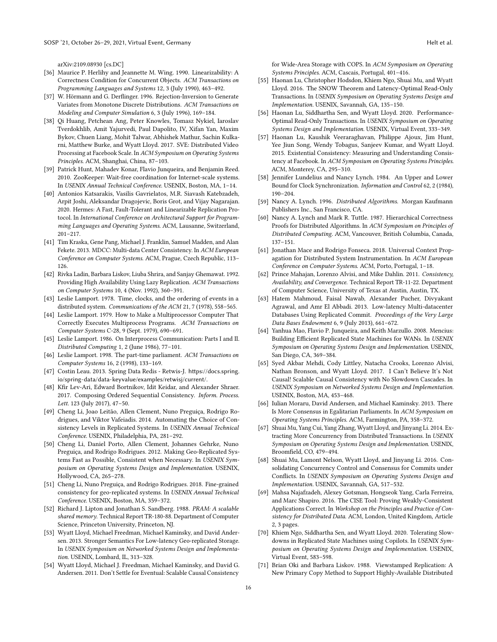arXiv[:2109.08930](https://arxiv.org/abs/2109.08930) [cs.DC]

- <span id="page-15-0"></span>[36] Maurice P. Herlihy and Jeannette M. Wing. 1990. Linearizability: A Correctness Condition for Concurrent Objects. ACM Transactions on Programming Languages and Systems 12, 3 (July 1990), 463-492.
- <span id="page-15-17"></span>[37] W. Hörmann and G. Derflinger. 1996. Rejection-Inversion to Generate Variates from Monotone Discrete Distributions. ACM Transactions on Modeling and Computer Simulation 6, 3 (July 1996), 169-184.
- <span id="page-15-6"></span>[38] Qi Huang, Petchean Ang, Peter Knowles, Tomasz Nykiel, Iaroslav Tverdokhlib, Amit Yajurvedi, Paul Dapolito, IV, Xifan Yan, Maxim Bykov, Chuen Liang, Mohit Talwar, Abhishek Mathur, Sachin Kulkarni, Matthew Burke, and Wyatt Lloyd. 2017. SVE: Distributed Video Processing at Facebook Scale. In ACM Symposium on Operating Systems Principles. ACM, Shanghai, China, 87-103.
- <span id="page-15-1"></span>[39] Patrick Hunt, Mahadev Konar, Flavio Junqueira, and Benjamin Reed. 2010. ZooKeeper: Wait-free coordination for Internet-scale systems. In USENIX Annual Technical Conference. USENIX, Boston, MA, 1-14.
- <span id="page-15-32"></span>[40] Antonios Katsarakis, Vasilis Gavrielatos, M.R. Siavash Katebzadeh, Arpit Joshi, Aleksandar Dragojevic, Boris Grot, and Vijay Nagarajan. 2020. Hermes: A Fast, Fault-Tolerant and Linearizable Replication Protocol. In International Conference on Architectural Support for Programming Languages and Operating Systems. ACM, Lausanne, Switzerland,  $201 - 217.$
- <span id="page-15-28"></span>[41] Tim Kraska, Gene Pang, Michael J. Franklin, Samuel Madden, and Alan Fekete. 2013. MDCC: Multi-data Center Consistency. In ACM European Conference on Computer Systems. ACM, Prague, Czech Republic, 113-126.
- <span id="page-15-21"></span>[42] Rivka Ladin, Barbara Liskov, Liuba Shrira, and Sanjay Ghemawat. 1992. Providing High Availability Using Lazy Replication. ACM Transactions on Computer Systems 10, 4 (Nov. 1992), 360-391.
- <span id="page-15-11"></span>[43] Leslie Lamport. 1978. Time, clocks, and the ordering of events in a distributed system. Communications of the ACM 21, 7 (1978), 558-565.
- <span id="page-15-4"></span>[44] Leslie Lamport. 1979. How to Make a Multiprocessor Computer That Correctly Executes Multiprocess Programs. ACM Transactions on Computer Systems C-28, 9 (Sept. 1979), 690-691.
- <span id="page-15-12"></span>[45] Leslie Lamport. 1986. On Interprocess Communication: Parts I and II. Distributed Computing 1, 2 (June 1986), 77-101.
- <span id="page-15-14"></span>[46] Leslie Lamport. 1998. The part-time parliament. ACM Transactions on Computer Systems 16, 2 (1998), 133-169.
- <span id="page-15-16"></span>[47] Costin Leau. 2013. Spring Data Redis - Retwis-J. [https://docs.spring.](https://docs.spring.io/spring-data/data-keyvalue/examples/retwisj/current/) [io/spring-data/data-keyvalue/examples/retwisj/current/](https://docs.spring.io/spring-data/data-keyvalue/examples/retwisj/current/).
- <span id="page-15-18"></span>[48] Kfir Lev-Ari, Edward Bortnikov, Idit Keidar, and Alexander Shraer. 2017. Composing Ordered Sequential Consistency. Inform. Process. Lett. 123 (July 2017), 47-50.
- <span id="page-15-25"></span>[49] Cheng Li, Joao Leitão, Allen Clement, Nuno Preguiça, Rodrigo Rodrigues, and Viktor Vafeiadis. 2014. Automating the Choice of Consistency Levels in Replicated Systems. In USENIX Annual Technical Conference. USENIX, Philadelphia, PA, 281-292.
- <span id="page-15-22"></span>[50] Cheng Li, Daniel Porto, Allen Clement, Johannes Gehrke, Nuno Preguiça, and Rodrigo Rodrigues. 2012. Making Geo-Replicated Systems Fast as Possible, Consistent when Necessary. In USENIX Symposium on Operating Systems Design and Implementation. USENIX, Hollywood, CA, 265-278.
- <span id="page-15-23"></span>[51] Cheng Li, Nuno Preguiça, and Rodrigo Rodrigues. 2018. Fine-grained consistency for geo-replicated systems. In USENIX Annual Technical Conference. USENIX, Boston, MA, 359-372.
- <span id="page-15-19"></span>[52] Richard J. Lipton and Jonathan S. Sandberg. 1988. PRAM: A scalable shared memory. Technical Report TR-180-88. Department of Computer Science, Princeton University, Princeton, NJ.
- <span id="page-15-2"></span>[53] Wyatt Lloyd, Michael Freedman, Michael Kaminsky, and David Andersen. 2013. Stronger Semantics For Low-latency Geo-replicated Storage. In USENIX Symposium on Networked Systems Design and Implementation. USENIX, Lombard, IL, 313-328.
- <span id="page-15-3"></span>[54] Wyatt Lloyd, Michael J. Freedman, Michael Kaminsky, and David G. Andersen. 2011. Don't Settle for Eventual: Scalable Causal Consistency

for Wide-Area Storage with COPS. In ACM Symposium on Operating Systems Principles. ACM, Cascais, Portugal, 401-416.

- <span id="page-15-7"></span>[55] Haonan Lu, Christopher Hodsdon, Khiem Ngo, Shuai Mu, and Wyatt Lloyd. 2016. The SNOW Theorem and Latency-Optimal Read-Only Transactions. In USENIX Symposium on Operating Systems Design and Implementation. USENIX, Savannah, GA, 135-150.
- <span id="page-15-8"></span>[56] Haonan Lu, Siddhartha Sen, and Wyatt Lloyd. 2020. Performance-Optimal Read-Only Transactions. In USENIX Symposium on Operating Systems Design and Implementation. USENIX, Virtual Event, 333-349.
- <span id="page-15-5"></span>[57] Haonan Lu, Kaushik Veeraraghavan, Philippe Ajoux, Jim Hunt, Yee Jiun Song, Wendy Tobagus, Sanjeev Kumar, and Wyatt Lloyd. 2015. Existential Consistency: Measuring and Understanding Consistency at Facebook. In ACM Symposium on Operating Systems Principles. ACM, Monterey, CA, 295-310.
- <span id="page-15-27"></span>[58] Jennifer Lundelius and Nancy Lynch. 1984. An Upper and Lower Bound for Clock Synchronization. Information and Control 62, 2 (1984),  $190 - 204.$
- <span id="page-15-9"></span>[59] Nancy A. Lynch. 1996. Distributed Algorithms. Morgan Kaufmann Publishers Inc., San Francisco, CA.
- <span id="page-15-10"></span>[60] Nancy A. Lynch and Mark R. Tuttle. 1987. Hierarchical Correctness Proofs for Distributed Algorithms. In ACM Symposium on Principles of Distributed Computing. ACM, Vancouver, British Columbia, Canada,  $137 - 151.$
- <span id="page-15-13"></span>[61] Jonathan Mace and Rodrigo Fonseca. 2018. Universal Context Propagation for Distributed System Instrumentation. In ACM European Conference on Computer Systems. ACM, Porto, Portugal, 1-18.
- <span id="page-15-24"></span>[62] Prince Mahajan, Lorenzo Alvisi, and Mike Dahlin. 2011. Consistency, Availability, and Convergence. Technical Report TR-11-22. Department of Computer Science, University of Texas at Austin, Austin, TX.
- <span id="page-15-29"></span>[63] Hatem Mahmoud, Faisal Nawab, Alexander Pucher, Divyakant Agrawal, and Amr El Abbadi. 2013. Low-latency Multi-datacenter Databases Using Replicated Commit. Proceedings of the Very Large Data Bases Endowment 6, 9 (July 2013), 661-672.
- <span id="page-15-33"></span>[64] Yanhua Mao, Flavio P. Junqueira, and Keith Marzullo. 2008. Mencius: Building Efficient Replicated State Machines for WANs. In USENIX Symposium on Operating Systems Design and Implementation. USENIX, San Diego, CA, 369-384.
- <span id="page-15-20"></span>[65] Syed Akbar Mehdi, Cody Littley, Natacha Crooks, Lorenzo Alvisi, Nathan Bronson, and Wyatt Lloyd. 2017. I Can't Believe It's Not Causal! Scalable Causal Consistency with No Slowdown Cascades. In USENIX Symposium on Networked Systems Design and Implementation. USENIX, Boston, MA, 453-468.
- <span id="page-15-34"></span>[66] Iulian Moraru, David Andersen, and Michael Kaminsky. 2013. There Is More Consensus in Egalitarian Parliaments. In ACM Symposium on Operating Systems Principles. ACM, Farmington, PA, 358-372.
- <span id="page-15-30"></span>[67] Shuai Mu, Yang Cui, Yang Zhang, Wyatt Lloyd, and Jinyang Li. 2014. Extracting More Concurrency from Distributed Transactions. In USENIX Symposium on Operating Systems Design and Implementation. USENIX, Broomfield, CO, 479-494.
- <span id="page-15-31"></span>[68] Shuai Mu, Lamont Nelson, Wyatt Lloyd, and Jinyang Li. 2016. Consolidating Concurrency Control and Consensus for Commits under Conflicts. In USENIX Symposium on Operating Systems Design and Implementation. USENIX, Savannah, GA, 517-532.
- <span id="page-15-26"></span>[69] Mahsa Najafzadeh, Alexey Gotsman, Hongseok Yang, Carla Ferreira, and Marc Shapiro. 2016. The CISE Tool: Proving Weakly-Consistent Applications Correct. In Workshop on the Principles and Practice of Consistency for Distributed Data. ACM, London, United Kingdom, Article 2, 3 pages.
- <span id="page-15-35"></span>[70] Khiem Ngo, Siddhartha Sen, and Wyatt Lloyd. 2020. Tolerating Slowdowns in Replicated State Machines using Copilots. In USENIX Symposium on Operating Systems Design and Implementation. USENIX, Virtual Event, 583-598.
- <span id="page-15-15"></span>[71] Brian Oki and Barbara Liskov. 1988. Viewstamped Replication: A New Primary Copy Method to Support Highly-Available Distributed